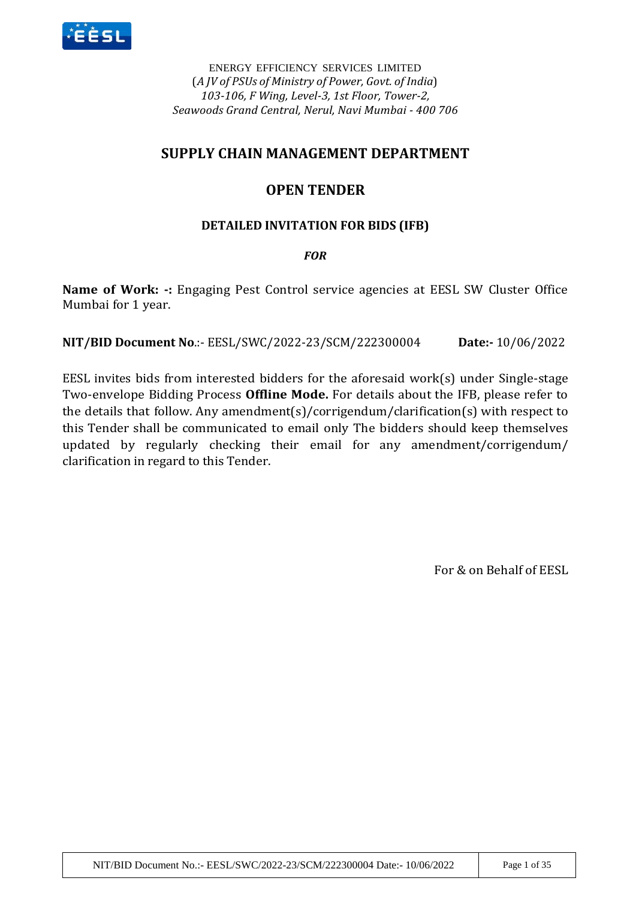

ENERGY EFFICIENCY SERVICES LIMITED (*A JV of PSUs of Ministry of Power, Govt. of India*) *103-106, F Wing, Level-3, 1st Floor, Tower-2, Seawoods Grand Central, Nerul, Navi Mumbai - 400 706*

# **SUPPLY CHAIN MANAGEMENT DEPARTMENT**

# **OPEN TENDER**

## **DETAILED INVITATION FOR BIDS (IFB)**

## *FOR*

**Name of Work: -:** Engaging Pest Control service agencies at EESL SW Cluster Office Mumbai for 1 year.

**NIT/BID Document No**.:- EESL/SWC/2022-23/SCM/222300004 **Date:-** 10/06/2022

EESL invites bids from interested bidders for the aforesaid work(s) under Single-stage Two-envelope Bidding Process **Offline Mode.** For details about the IFB, please refer to the details that follow. Any amendment(s)/corrigendum/clarification(s) with respect to this Tender shall be communicated to email only The bidders should keep themselves updated by regularly checking their email for any amendment/corrigendum/ clarification in regard to this Tender.

For & on Behalf of EESL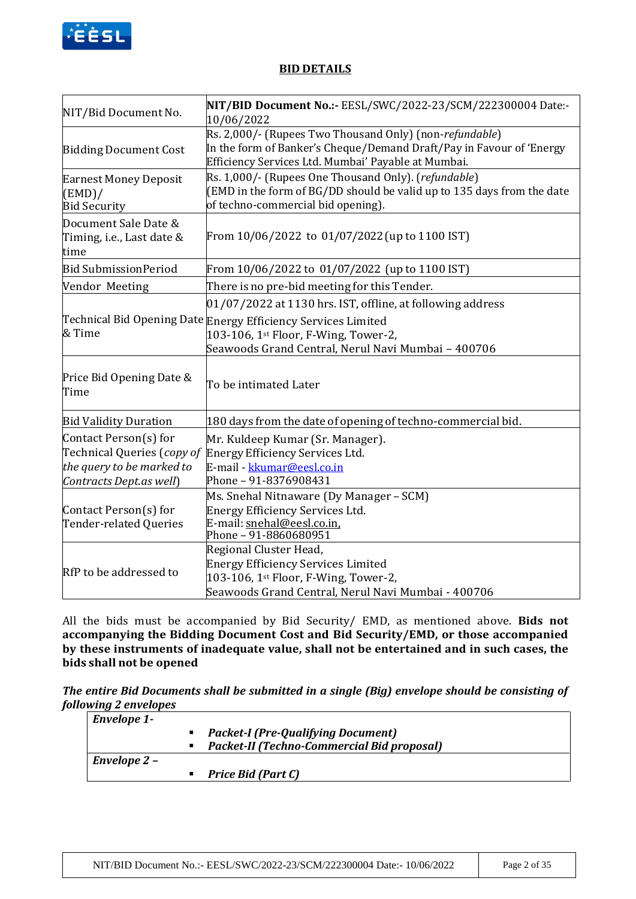

### **BID DETAILS**

| NIT/Bid Document No.                                                                                        | NIT/BID Document No.:- EESL/SWC/2022-23/SCM/222300004 Date:-<br>10/06/2022                                                                                                             |
|-------------------------------------------------------------------------------------------------------------|----------------------------------------------------------------------------------------------------------------------------------------------------------------------------------------|
| <b>Bidding Document Cost</b>                                                                                | Rs. 2,000/- (Rupees Two Thousand Only) (non-refundable)<br>In the form of Banker's Cheque/Demand Draft/Pay in Favour of 'Energy<br>Efficiency Services Ltd. Mumbai' Payable at Mumbai. |
| <b>Earnest Money Deposit</b><br>(EMD)/<br><b>Bid Security</b>                                               | Rs. 1,000/- (Rupees One Thousand Only). (refundable)<br>(EMD in the form of BG/DD should be valid up to 135 days from the date<br>of techno-commercial bid opening).                   |
| Document Sale Date &<br>Timing, i.e., Last date &<br>time                                                   | From 10/06/2022 to 01/07/2022 (up to 1100 IST)                                                                                                                                         |
| <b>Bid Submission Period</b>                                                                                | From 10/06/2022 to 01/07/2022 (up to 1100 IST)                                                                                                                                         |
| Vendor Meeting                                                                                              | There is no pre-bid meeting for this Tender.                                                                                                                                           |
|                                                                                                             | $01/07/2022$ at 1130 hrs. IST, offline, at following address                                                                                                                           |
| & Time                                                                                                      | Technical Bid Opening Date Energy Efficiency Services Limited<br>103-106, 1st Floor, F-Wing, Tower-2,<br>Seawoods Grand Central, Nerul Navi Mumbai - 400706                            |
| Price Bid Opening Date &<br>Time                                                                            | To be intimated Later                                                                                                                                                                  |
| <b>Bid Validity Duration</b>                                                                                | 180 days from the date of opening of techno-commercial bid.                                                                                                                            |
| Contact Person(s) for<br>Technical Queries (copy of<br>the query to be marked to<br>Contracts Dept.as well) | Mr. Kuldeep Kumar (Sr. Manager).<br>Energy Efficiency Services Ltd.<br>E-mail - kkumar@eesl.co.in<br>Phone - 91-8376908431                                                             |
| Contact Person(s) for<br>Tender-related Queries                                                             | Ms. Snehal Nitnaware (Dy Manager - SCM)<br>Energy Efficiency Services Ltd.<br>E-mail: snehal@eesl.co.in,<br>Phone - 91-8860680951                                                      |
| RfP to be addressed to                                                                                      | Regional Cluster Head,<br><b>Energy Efficiency Services Limited</b><br>103-106, 1st Floor, F-Wing, Tower-2,<br>Seawoods Grand Central, Nerul Navi Mumbai - 400706                      |

All the bids must be accompanied by Bid Security/ EMD, as mentioned above. **Bids not accompanying the Bidding Document Cost and Bid Security/EMD, or those accompanied by these instruments of inadequate value, shall not be entertained and in such cases, the bids shall not be opened** 

*The entire Bid Documents shall be submitted in a single (Big) envelope should be consisting of following 2 envelopes*

| <b>Envelope 1-</b> |                                                   |
|--------------------|---------------------------------------------------|
|                    | <b>Packet-I (Pre-Qualifying Document)</b>         |
|                    | <b>Packet-II (Techno-Commercial Bid proposal)</b> |
| Envelope 2 -       |                                                   |
|                    | Price Bid (Part C)                                |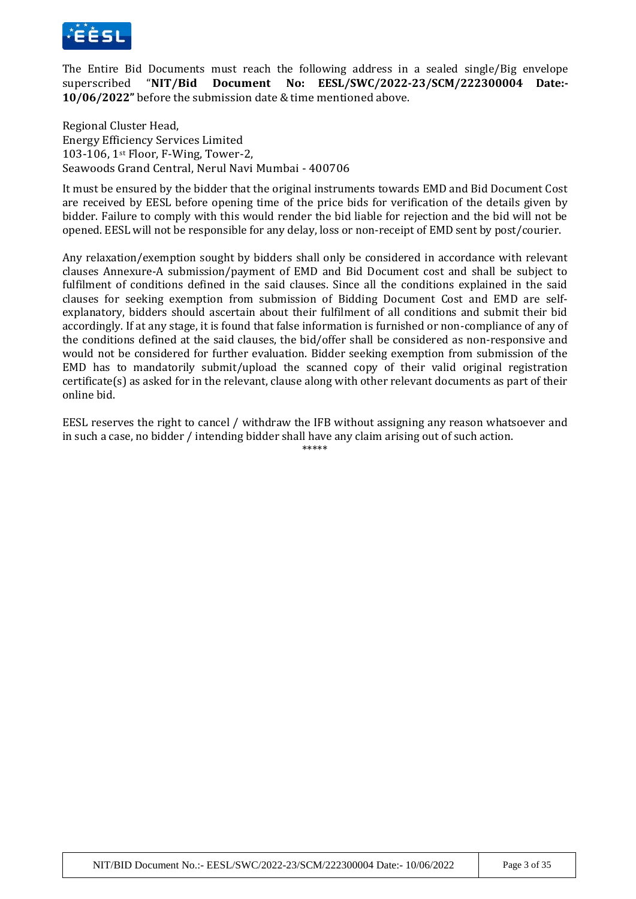

The Entire Bid Documents must reach the following address in a sealed single/Big envelope superscribed "**NIT/Bid Document No: EESL/SWC/2022-23/SCM/222300004 Date:- 10/06/2022"** before the submission date & time mentioned above.

Regional Cluster Head, Energy Efficiency Services Limited 103-106, 1st Floor, F-Wing, Tower-2, Seawoods Grand Central, Nerul Navi Mumbai - 400706

It must be ensured by the bidder that the original instruments towards EMD and Bid Document Cost are received by EESL before opening time of the price bids for verification of the details given by bidder. Failure to comply with this would render the bid liable for rejection and the bid will not be opened. EESL will not be responsible for any delay, loss or non-receipt of EMD sent by post/courier.

Any relaxation/exemption sought by bidders shall only be considered in accordance with relevant clauses Annexure-A submission/payment of EMD and Bid Document cost and shall be subject to fulfilment of conditions defined in the said clauses. Since all the conditions explained in the said clauses for seeking exemption from submission of Bidding Document Cost and EMD are selfexplanatory, bidders should ascertain about their fulfilment of all conditions and submit their bid accordingly. If at any stage, it is found that false information is furnished or non-compliance of any of the conditions defined at the said clauses, the bid/offer shall be considered as non-responsive and would not be considered for further evaluation. Bidder seeking exemption from submission of the EMD has to mandatorily submit/upload the scanned copy of their valid original registration certificate(s) as asked for in the relevant, clause along with other relevant documents as part of their online bid.

EESL reserves the right to cancel / withdraw the IFB without assigning any reason whatsoever and in such a case, no bidder / intending bidder shall have any claim arising out of such action.

\*\*\*\*\*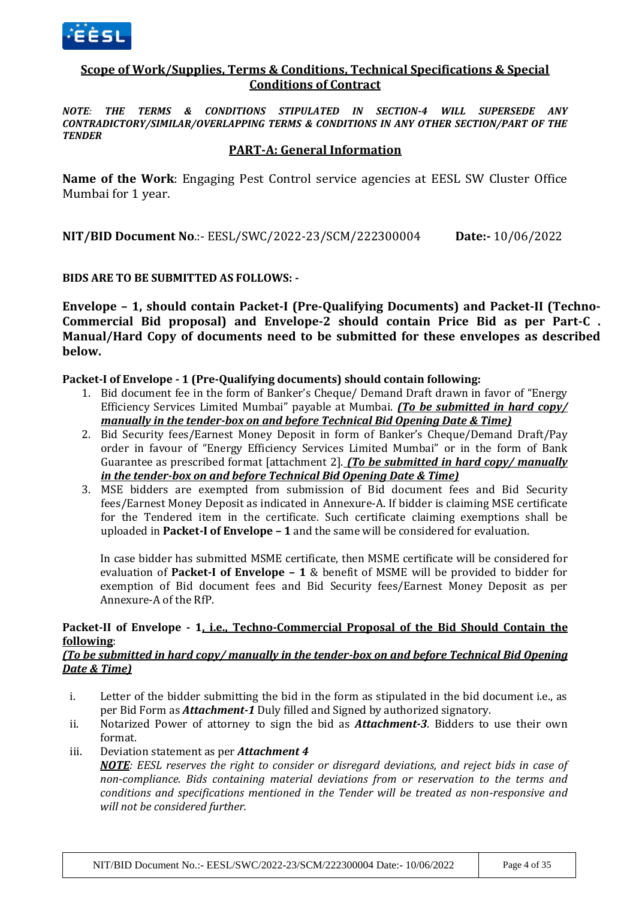

### **Scope of Work/Supplies, Terms & Conditions, Technical Specifications & Special Conditions of Contract**

*NOTE: THE TERMS & CONDITIONS STIPULATED IN SECTION-4 WILL SUPERSEDE ANY CONTRADICTORY/SIMILAR/OVERLAPPING TERMS & CONDITIONS IN ANY OTHER SECTION/PART OF THE TENDER*

### **PART-A: General Information**

**Name of the Work**: Engaging Pest Control service agencies at EESL SW Cluster Office Mumbai for 1 year.

**NIT/BID Document No**.:- EESL/SWC/2022-23/SCM/222300004 **Date:-** 10/06/2022

### **BIDS ARE TO BE SUBMITTED AS FOLLOWS: -**

**Envelope – 1, should contain Packet-I (Pre-Qualifying Documents) and Packet-II (Techno-Commercial Bid proposal) and Envelope-2 should contain Price Bid as per Part-C . Manual/Hard Copy of documents need to be submitted for these envelopes as described below.** 

#### **Packet-I of Envelope - 1 (Pre-Qualifying documents) should contain following:**

- 1. Bid document fee in the form of Banker's Cheque/ Demand Draft drawn in favor of "Energy Efficiency Services Limited Mumbai" payable at Mumbai. *(To be submitted in hard copy/ manually in the tender-box on and before Technical Bid Opening Date & Time)*
- 2. Bid Security fees/Earnest Money Deposit in form of Banker's Cheque/Demand Draft/Pay order in favour of "Energy Efficiency Services Limited Mumbai" or in the form of Bank Guarantee as prescribed format [attachment 2]. *(To be submitted in hard copy/ manually in the tender-box on and before Technical Bid Opening Date & Time)*
- 3. MSE bidders are exempted from submission of Bid document fees and Bid Security fees/Earnest Money Deposit as indicated in Annexure-A. If bidder is claiming MSE certificate for the Tendered item in the certificate. Such certificate claiming exemptions shall be uploaded in **Packet-I of Envelope – 1** and the same will be considered for evaluation.

In case bidder has submitted MSME certificate, then MSME certificate will be considered for evaluation of **Packet-I of Envelope – 1** & benefit of MSME will be provided to bidder for exemption of Bid document fees and Bid Security fees/Earnest Money Deposit as per Annexure-A of the RfP.

### **Packet-II of Envelope - 1, i.e., Techno-Commercial Proposal of the Bid Should Contain the following**:

#### *(To be submitted in hard copy/ manually in the tender-box on and before Technical Bid Opening Date & Time)*

- i. Letter of the bidder submitting the bid in the form as stipulated in the bid document i.e., as per Bid Form as *Attachment-1* Duly filled and Signed by authorized signatory.
- ii. Notarized Power of attorney to sign the bid as *Attachment-3*. Bidders to use their own format.
- iii. Deviation statement as per *Attachment 4*

*NOTE: EESL reserves the right to consider or disregard deviations, and reject bids in case of non-compliance. Bids containing material deviations from or reservation to the terms and conditions and specifications mentioned in the Tender will be treated as non-responsive and will not be considered further.*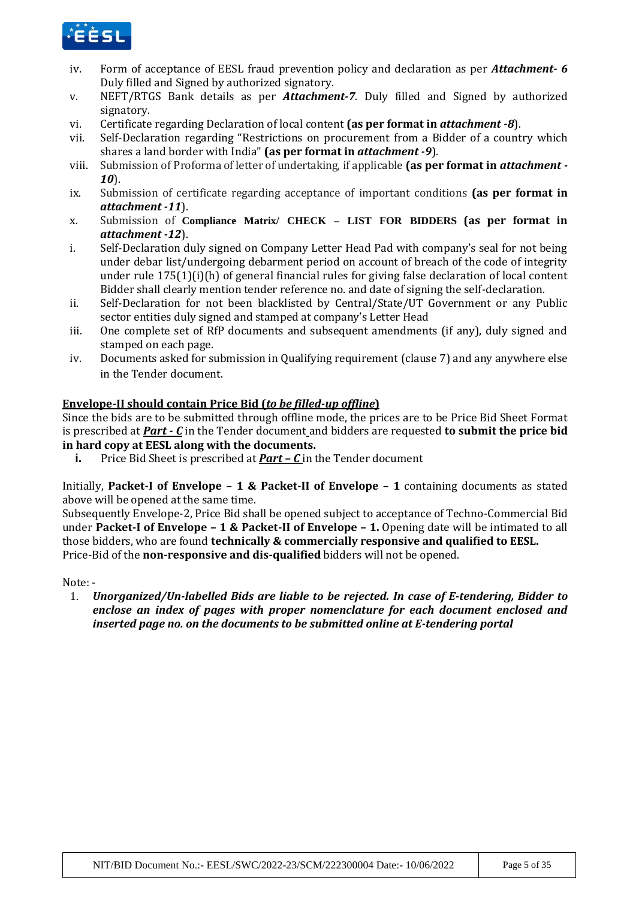

- iv. Form of acceptance of EESL fraud prevention policy and declaration as per *Attachment- 6* Duly filled and Signed by authorized signatory.
- v. NEFT/RTGS Bank details as per *Attachment-7*. Duly filled and Signed by authorized signatory.
- vi. Certificate regarding Declaration of local content **(as per format in** *attachment -8*).
- vii. Self-Declaration regarding "Restrictions on procurement from a Bidder of a country which shares a land border with India" **(as per format in** *attachment -9*).
- viii. Submission of Proforma of letter of undertaking, if applicable **(as per format in** *attachment - 10*).
- ix. Submission of certificate regarding acceptance of important conditions **(as per format in**  *attachment -11*).
- x. Submission of **Compliance Matrix/ CHECK – LIST FOR BIDDERS (as per format in**  *attachment -12*).
- i. Self-Declaration duly signed on Company Letter Head Pad with company's seal for not being under debar list/undergoing debarment period on account of breach of the code of integrity under rule 175(1)(i)(h) of general financial rules for giving false declaration of local content Bidder shall clearly mention tender reference no. and date of signing the self-declaration.
- ii. Self-Declaration for not been blacklisted by Central/State/UT Government or any Public sector entities duly signed and stamped at company's Letter Head
- iii. One complete set of RfP documents and subsequent amendments (if any), duly signed and stamped on each page.
- iv. Documents asked for submission in Qualifying requirement (clause 7) and any anywhere else in the Tender document.

### **Envelope-II should contain Price Bid (***to be filled-up offline***)**

Since the bids are to be submitted through offline mode, the prices are to be Price Bid Sheet Format is prescribed at *Part - C* in the Tender document and bidders are requested **to submit the price bid in hard copy at EESL along with the documents.** 

**i.** Price Bid Sheet is prescribed at *Part – C* in the Tender document

Initially, **Packet-I of Envelope – 1 & Packet-II of Envelope – 1** containing documents as stated above will be opened at the same time.

Subsequently Envelope-2, Price Bid shall be opened subject to acceptance of Techno-Commercial Bid under **Packet-I of Envelope – 1 & Packet-II of Envelope – 1.** Opening date will be intimated to all those bidders, who are found **technically & commercially responsive and qualified to EESL.** Price-Bid of the **non-responsive and dis-qualified** bidders will not be opened.

Note: -

1. *Unorganized/Un-labelled Bids are liable to be rejected. In case of E-tendering, Bidder to enclose an index of pages with proper nomenclature for each document enclosed and inserted page no. on the documents to be submitted online at E-tendering portal*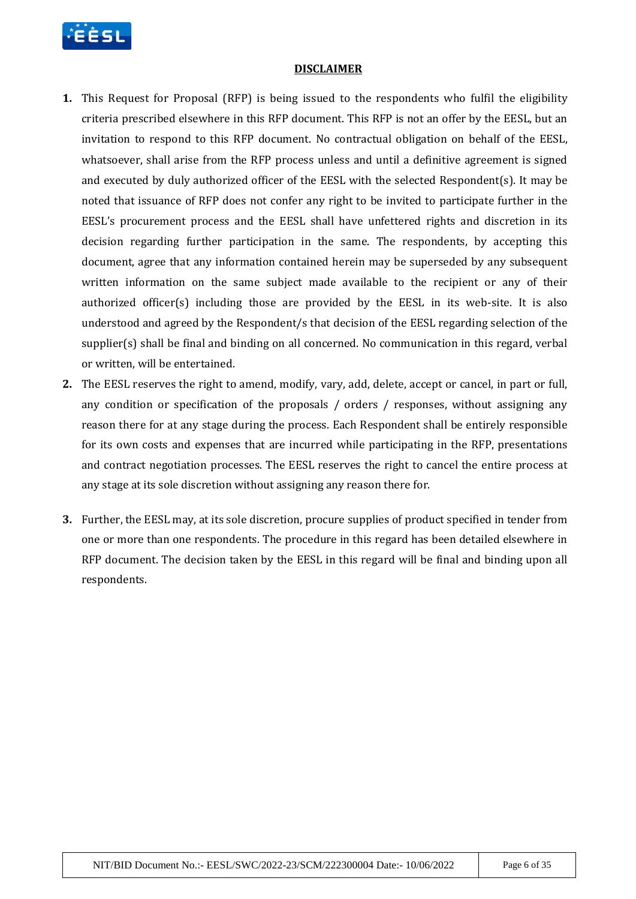

#### **DISCLAIMER**

- **1.** This Request for Proposal (RFP) is being issued to the respondents who fulfil the eligibility criteria prescribed elsewhere in this RFP document. This RFP is not an offer by the EESL, but an invitation to respond to this RFP document. No contractual obligation on behalf of the EESL, whatsoever, shall arise from the RFP process unless and until a definitive agreement is signed and executed by duly authorized officer of the EESL with the selected Respondent(s). It may be noted that issuance of RFP does not confer any right to be invited to participate further in the EESL's procurement process and the EESL shall have unfettered rights and discretion in its decision regarding further participation in the same. The respondents, by accepting this document, agree that any information contained herein may be superseded by any subsequent written information on the same subject made available to the recipient or any of their authorized officer(s) including those are provided by the EESL in its web-site. It is also understood and agreed by the Respondent/s that decision of the EESL regarding selection of the supplier(s) shall be final and binding on all concerned. No communication in this regard, verbal or written, will be entertained.
- **2.** The EESL reserves the right to amend, modify, vary, add, delete, accept or cancel, in part or full, any condition or specification of the proposals / orders / responses, without assigning any reason there for at any stage during the process. Each Respondent shall be entirely responsible for its own costs and expenses that are incurred while participating in the RFP, presentations and contract negotiation processes. The EESL reserves the right to cancel the entire process at any stage at its sole discretion without assigning any reason there for.
- **3.** Further, the EESL may, at its sole discretion, procure supplies of product specified in tender from one or more than one respondents. The procedure in this regard has been detailed elsewhere in RFP document. The decision taken by the EESL in this regard will be final and binding upon all respondents.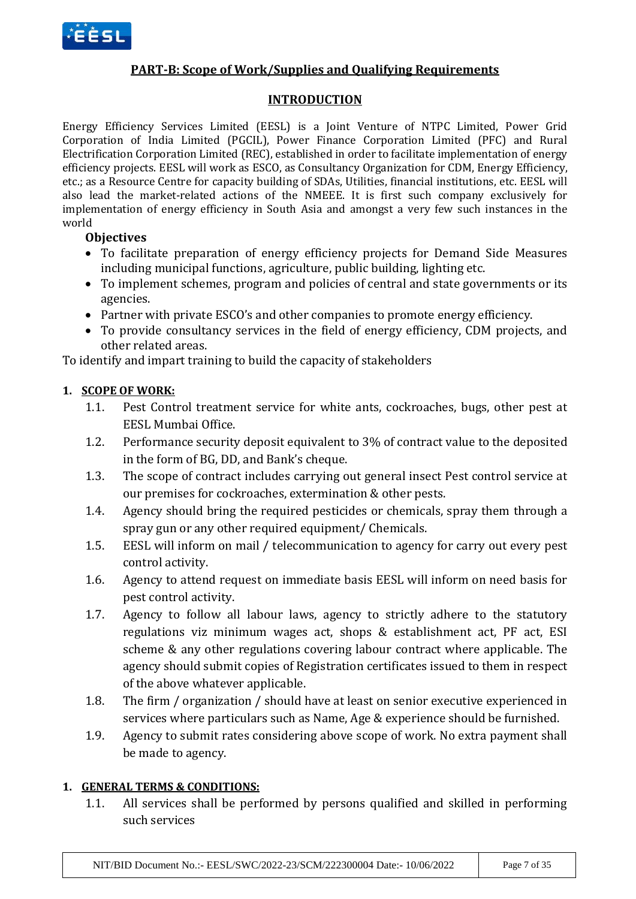

## **PART-B: Scope of Work/Supplies and Qualifying Requirements**

## **INTRODUCTION**

Energy Efficiency Services Limited (EESL) is a Joint Venture of NTPC Limited, Power Grid Corporation of India Limited (PGCIL), Power Finance Corporation Limited (PFC) and Rural Electrification Corporation Limited (REC), established in order to facilitate implementation of energy efficiency projects. EESL will work as ESCO, as Consultancy Organization for CDM, Energy Efficiency, etc.; as a Resource Centre for capacity building of SDAs, Utilities, financial institutions, etc. EESL will also lead the market-related actions of the NMEEE. It is first such company exclusively for implementation of energy efficiency in South Asia and amongst a very few such instances in the world

## **Objectives**

- To facilitate preparation of energy efficiency projects for Demand Side Measures including municipal functions, agriculture, public building, lighting etc.
- To implement schemes, program and policies of central and state governments or its agencies.
- Partner with private ESCO's and other companies to promote energy efficiency.
- To provide consultancy services in the field of energy efficiency, CDM projects, and other related areas.

To identify and impart training to build the capacity of stakeholders

## **1. SCOPE OF WORK:**

- 1.1. Pest Control treatment service for white ants, cockroaches, bugs, other pest at EESL Mumbai Office.
- 1.2. Performance security deposit equivalent to 3% of contract value to the deposited in the form of BG, DD, and Bank's cheque.
- 1.3. The scope of contract includes carrying out general insect Pest control service at our premises for cockroaches, extermination & other pests.
- 1.4. Agency should bring the required pesticides or chemicals, spray them through a spray gun or any other required equipment/ Chemicals.
- 1.5. EESL will inform on mail / telecommunication to agency for carry out every pest control activity.
- 1.6. Agency to attend request on immediate basis EESL will inform on need basis for pest control activity.
- 1.7. Agency to follow all labour laws, agency to strictly adhere to the statutory regulations viz minimum wages act, shops & establishment act, PF act, ESI scheme & any other regulations covering labour contract where applicable. The agency should submit copies of Registration certificates issued to them in respect of the above whatever applicable.
- 1.8. The firm / organization / should have at least on senior executive experienced in services where particulars such as Name, Age & experience should be furnished.
- 1.9. Agency to submit rates considering above scope of work. No extra payment shall be made to agency.

## **1. GENERAL TERMS & CONDITIONS:**

1.1. All services shall be performed by persons qualified and skilled in performing such services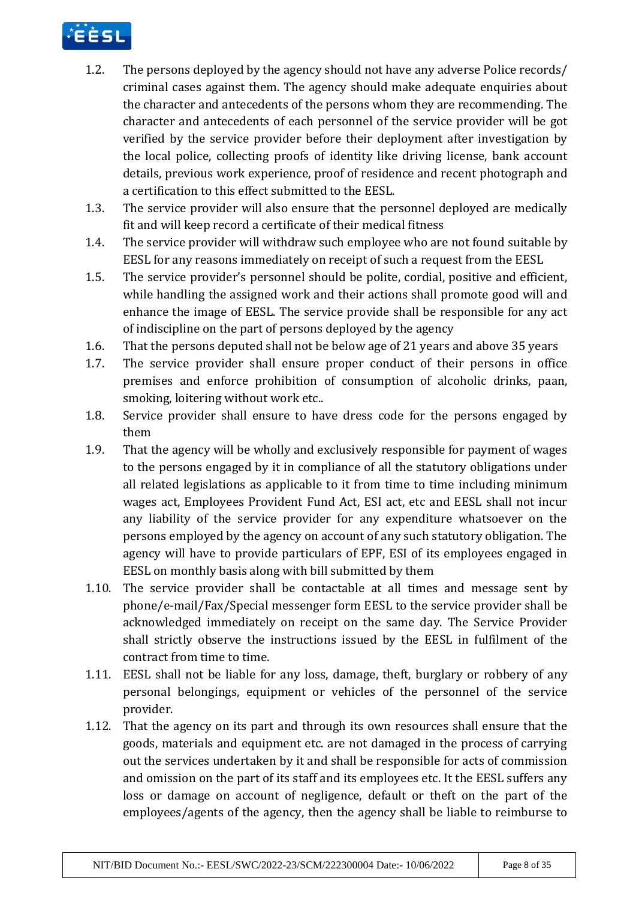

- 1.2. The persons deployed by the agency should not have any adverse Police records/ criminal cases against them. The agency should make adequate enquiries about the character and antecedents of the persons whom they are recommending. The character and antecedents of each personnel of the service provider will be got verified by the service provider before their deployment after investigation by the local police, collecting proofs of identity like driving license, bank account details, previous work experience, proof of residence and recent photograph and a certification to this effect submitted to the EESL.
- 1.3. The service provider will also ensure that the personnel deployed are medically fit and will keep record a certificate of their medical fitness
- 1.4. The service provider will withdraw such employee who are not found suitable by EESL for any reasons immediately on receipt of such a request from the EESL
- 1.5. The service provider's personnel should be polite, cordial, positive and efficient, while handling the assigned work and their actions shall promote good will and enhance the image of EESL. The service provide shall be responsible for any act of indiscipline on the part of persons deployed by the agency
- 1.6. That the persons deputed shall not be below age of 21 years and above 35 years
- 1.7. The service provider shall ensure proper conduct of their persons in office premises and enforce prohibition of consumption of alcoholic drinks, paan, smoking, loitering without work etc..
- 1.8. Service provider shall ensure to have dress code for the persons engaged by them
- 1.9. That the agency will be wholly and exclusively responsible for payment of wages to the persons engaged by it in compliance of all the statutory obligations under all related legislations as applicable to it from time to time including minimum wages act, Employees Provident Fund Act, ESI act, etc and EESL shall not incur any liability of the service provider for any expenditure whatsoever on the persons employed by the agency on account of any such statutory obligation. The agency will have to provide particulars of EPF, ESI of its employees engaged in EESL on monthly basis along with bill submitted by them
- 1.10. The service provider shall be contactable at all times and message sent by phone/e-mail/Fax/Special messenger form EESL to the service provider shall be acknowledged immediately on receipt on the same day. The Service Provider shall strictly observe the instructions issued by the EESL in fulfilment of the contract from time to time.
- 1.11. EESL shall not be liable for any loss, damage, theft, burglary or robbery of any personal belongings, equipment or vehicles of the personnel of the service provider.
- 1.12. That the agency on its part and through its own resources shall ensure that the goods, materials and equipment etc. are not damaged in the process of carrying out the services undertaken by it and shall be responsible for acts of commission and omission on the part of its staff and its employees etc. It the EESL suffers any loss or damage on account of negligence, default or theft on the part of the employees/agents of the agency, then the agency shall be liable to reimburse to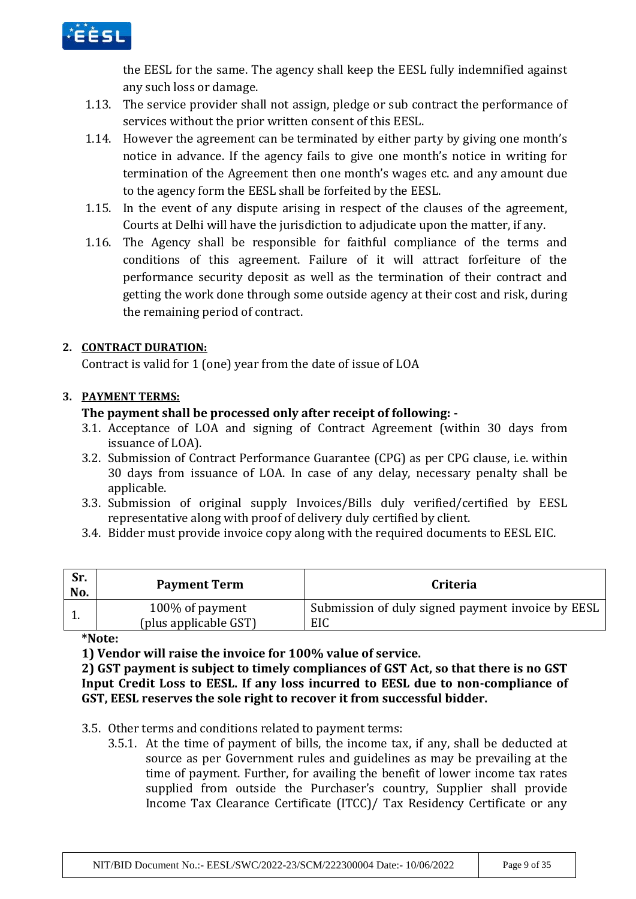

the EESL for the same. The agency shall keep the EESL fully indemnified against any such loss or damage.

- 1.13. The service provider shall not assign, pledge or sub contract the performance of services without the prior written consent of this EESL.
- 1.14. However the agreement can be terminated by either party by giving one month's notice in advance. If the agency fails to give one month's notice in writing for termination of the Agreement then one month's wages etc. and any amount due to the agency form the EESL shall be forfeited by the EESL.
- 1.15. In the event of any dispute arising in respect of the clauses of the agreement, Courts at Delhi will have the jurisdiction to adjudicate upon the matter, if any.
- 1.16. The Agency shall be responsible for faithful compliance of the terms and conditions of this agreement. Failure of it will attract forfeiture of the performance security deposit as well as the termination of their contract and getting the work done through some outside agency at their cost and risk, during the remaining period of contract.

## **2. CONTRACT DURATION:**

Contract is valid for 1 (one) year from the date of issue of LOA

## **3. PAYMENT TERMS:**

## **The payment shall be processed only after receipt of following: -**

- 3.1. Acceptance of LOA and signing of Contract Agreement (within 30 days from issuance of LOA).
- 3.2. Submission of Contract Performance Guarantee (CPG) as per CPG clause, i.e. within 30 days from issuance of LOA. In case of any delay, necessary penalty shall be applicable.
- 3.3. Submission of original supply Invoices/Bills duly verified/certified by EESL representative along with proof of delivery duly certified by client.
- 3.4. Bidder must provide invoice copy along with the required documents to EESL EIC.

| Sr.<br>No. | <b>Payment Term</b>                      | <b>Criteria</b>                                          |
|------------|------------------------------------------|----------------------------------------------------------|
| <b>.</b>   | 100% of payment<br>(plus applicable GST) | Submission of duly signed payment invoice by EESL<br>EIC |

**\*Note:** 

**1) Vendor will raise the invoice for 100% value of service.** 

**2) GST payment is subject to timely compliances of GST Act, so that there is no GST Input Credit Loss to EESL. If any loss incurred to EESL due to non-compliance of GST, EESL reserves the sole right to recover it from successful bidder.** 

3.5. Other terms and conditions related to payment terms:

3.5.1. At the time of payment of bills, the income tax, if any, shall be deducted at source as per Government rules and guidelines as may be prevailing at the time of payment. Further, for availing the benefit of lower income tax rates supplied from outside the Purchaser's country, Supplier shall provide Income Tax Clearance Certificate (ITCC)/ Tax Residency Certificate or any

NIT/BID Document No.:- EESL/SWC/2022-23/SCM/222300004 Date:- 10/06/2022 Page 9 of 35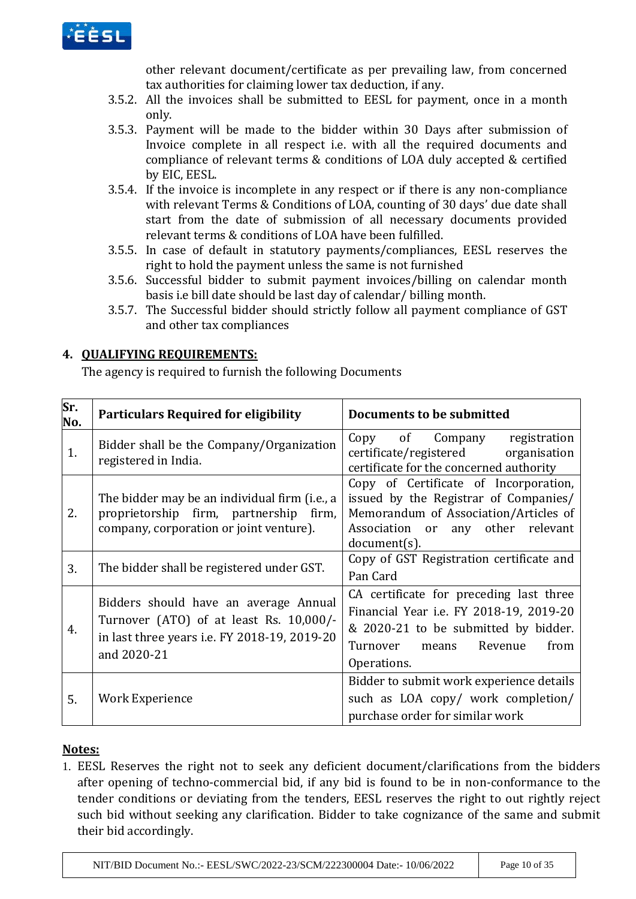

other relevant document/certificate as per prevailing law, from concerned tax authorities for claiming lower tax deduction, if any.

- 3.5.2. All the invoices shall be submitted to EESL for payment, once in a month only.
- 3.5.3. Payment will be made to the bidder within 30 Days after submission of Invoice complete in all respect i.e. with all the required documents and compliance of relevant terms & conditions of LOA duly accepted & certified by EIC, EESL.
- 3.5.4. If the invoice is incomplete in any respect or if there is any non-compliance with relevant Terms & Conditions of LOA, counting of 30 days' due date shall start from the date of submission of all necessary documents provided relevant terms & conditions of LOA have been fulfilled.
- 3.5.5. In case of default in statutory payments/compliances, EESL reserves the right to hold the payment unless the same is not furnished
- 3.5.6. Successful bidder to submit payment invoices/billing on calendar month basis i.e bill date should be last day of calendar/ billing month.
- 3.5.7. The Successful bidder should strictly follow all payment compliance of GST and other tax compliances

## **4. QUALIFYING REQUIREMENTS:**

The agency is required to furnish the following Documents

| Sr.<br>No. | <b>Particulars Required for eligibility</b>                                                                                                     | Documents to be submitted                                                                                                                                                         |
|------------|-------------------------------------------------------------------------------------------------------------------------------------------------|-----------------------------------------------------------------------------------------------------------------------------------------------------------------------------------|
| 1.         | Bidder shall be the Company/Organization<br>registered in India.                                                                                | Copy of Company registration<br>certificate/registered<br>organisation<br>certificate for the concerned authority                                                                 |
| 2.         | The bidder may be an individual firm (i.e., a<br>proprietorship firm, partnership firm,<br>company, corporation or joint venture).              | Copy of Certificate of Incorporation,<br>issued by the Registrar of Companies/<br>Memorandum of Association/Articles of<br>Association or any other relevant<br>$document(s)$ .   |
| 3.         | The bidder shall be registered under GST.                                                                                                       | Copy of GST Registration certificate and<br>Pan Card                                                                                                                              |
| 4.         | Bidders should have an average Annual<br>Turnover (ATO) of at least Rs. 10,000/-<br>in last three years i.e. FY 2018-19, 2019-20<br>and 2020-21 | CA certificate for preceding last three<br>Financial Year i.e. FY 2018-19, 2019-20<br>& 2020-21 to be submitted by bidder.<br>Turnover<br>Revenue<br>from<br>means<br>Operations. |
| 5.         | Work Experience                                                                                                                                 | Bidder to submit work experience details<br>such as LOA copy/ work completion/<br>purchase order for similar work                                                                 |

## **Notes:**

1. EESL Reserves the right not to seek any deficient document/clarifications from the bidders after opening of techno-commercial bid, if any bid is found to be in non-conformance to the tender conditions or deviating from the tenders, EESL reserves the right to out rightly reject such bid without seeking any clarification. Bidder to take cognizance of the same and submit their bid accordingly.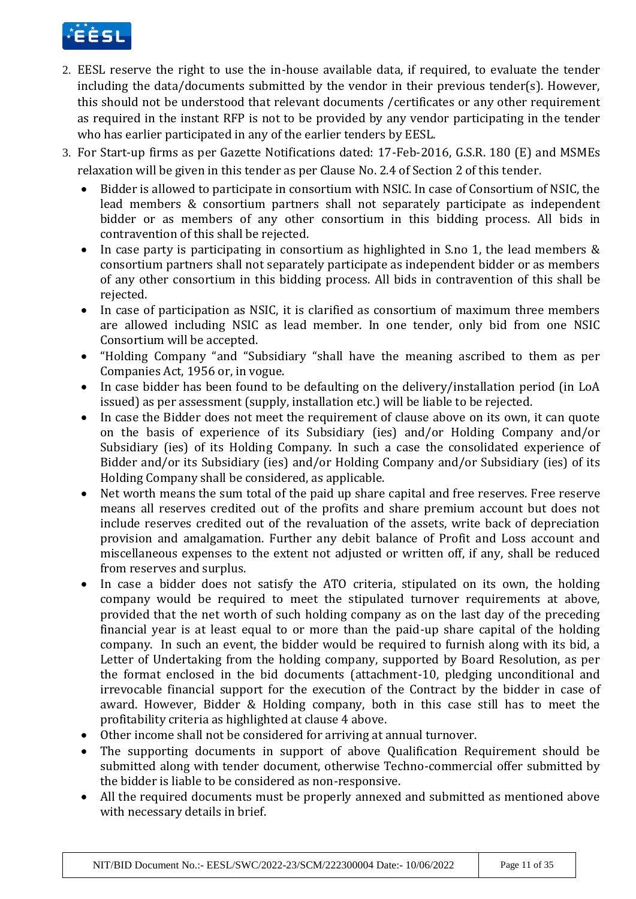

- 2. EESL reserve the right to use the in-house available data, if required, to evaluate the tender including the data/documents submitted by the vendor in their previous tender(s). However, this should not be understood that relevant documents /certificates or any other requirement as required in the instant RFP is not to be provided by any vendor participating in the tender who has earlier participated in any of the earlier tenders by EESL.
- 3. For Start-up firms as per Gazette Notifications dated: 17-Feb-2016, G.S.R. 180 (E) and MSMEs relaxation will be given in this tender as per Clause No. 2.4 of Section 2 of this tender.
	- Bidder is allowed to participate in consortium with NSIC. In case of Consortium of NSIC, the lead members & consortium partners shall not separately participate as independent bidder or as members of any other consortium in this bidding process. All bids in contravention of this shall be rejected.
	- In case party is participating in consortium as highlighted in S.no 1, the lead members & consortium partners shall not separately participate as independent bidder or as members of any other consortium in this bidding process. All bids in contravention of this shall be rejected.
	- In case of participation as NSIC, it is clarified as consortium of maximum three members are allowed including NSIC as lead member. In one tender, only bid from one NSIC Consortium will be accepted.
	- "Holding Company "and "Subsidiary "shall have the meaning ascribed to them as per Companies Act, 1956 or, in vogue.
	- In case bidder has been found to be defaulting on the delivery/installation period (in LoA issued) as per assessment (supply, installation etc.) will be liable to be rejected.
	- In case the Bidder does not meet the requirement of clause above on its own, it can quote on the basis of experience of its Subsidiary (ies) and/or Holding Company and/or Subsidiary (ies) of its Holding Company. In such a case the consolidated experience of Bidder and/or its Subsidiary (ies) and/or Holding Company and/or Subsidiary (ies) of its Holding Company shall be considered, as applicable.
	- Net worth means the sum total of the paid up share capital and free reserves. Free reserve means all reserves credited out of the profits and share premium account but does not include reserves credited out of the revaluation of the assets, write back of depreciation provision and amalgamation. Further any debit balance of Profit and Loss account and miscellaneous expenses to the extent not adjusted or written off, if any, shall be reduced from reserves and surplus.
	- In case a bidder does not satisfy the ATO criteria, stipulated on its own, the holding company would be required to meet the stipulated turnover requirements at above, provided that the net worth of such holding company as on the last day of the preceding financial year is at least equal to or more than the paid-up share capital of the holding company. In such an event, the bidder would be required to furnish along with its bid, a Letter of Undertaking from the holding company, supported by Board Resolution, as per the format enclosed in the bid documents (attachment-10, pledging unconditional and irrevocable financial support for the execution of the Contract by the bidder in case of award. However, Bidder & Holding company, both in this case still has to meet the profitability criteria as highlighted at clause 4 above.
	- Other income shall not be considered for arriving at annual turnover.
	- The supporting documents in support of above Qualification Requirement should be submitted along with tender document, otherwise Techno-commercial offer submitted by the bidder is liable to be considered as non-responsive.
	- All the required documents must be properly annexed and submitted as mentioned above with necessary details in brief.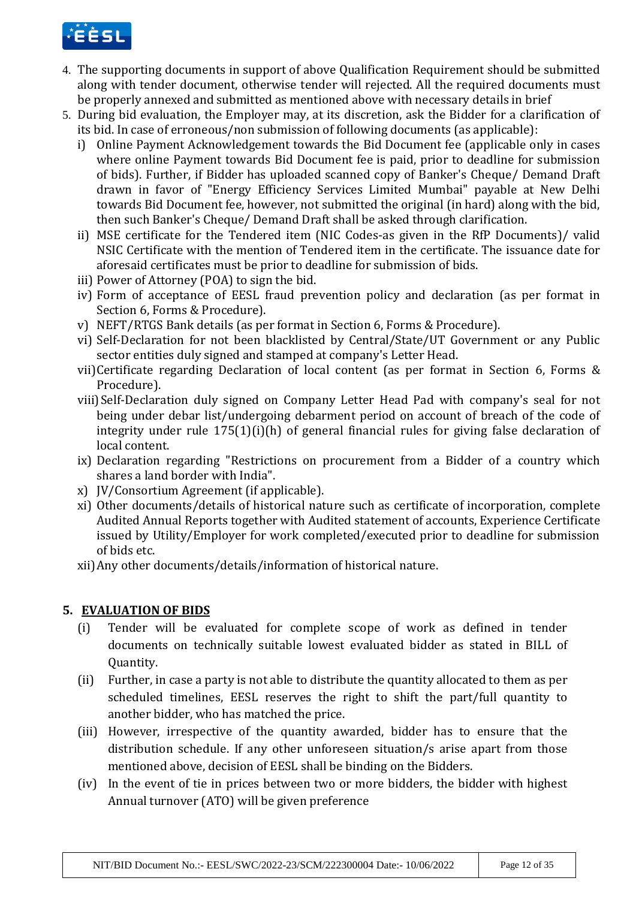

- 4. The supporting documents in support of above Qualification Requirement should be submitted along with tender document, otherwise tender will rejected. All the required documents must be properly annexed and submitted as mentioned above with necessary details in brief
- 5. During bid evaluation, the Employer may, at its discretion, ask the Bidder for a clarification of its bid. In case of erroneous/non submission of following documents (as applicable):
	- i) Online Payment Acknowledgement towards the Bid Document fee (applicable only in cases where online Payment towards Bid Document fee is paid, prior to deadline for submission of bids). Further, if Bidder has uploaded scanned copy of Banker's Cheque/ Demand Draft drawn in favor of "Energy Efficiency Services Limited Mumbai" payable at New Delhi towards Bid Document fee, however, not submitted the original (in hard) along with the bid, then such Banker's Cheque/ Demand Draft shall be asked through clarification.
	- ii) MSE certificate for the Tendered item (NIC Codes-as given in the RfP Documents)/ valid NSIC Certificate with the mention of Tendered item in the certificate. The issuance date for aforesaid certificates must be prior to deadline for submission of bids.
	- iii) Power of Attorney (POA) to sign the bid.
	- iv) Form of acceptance of EESL fraud prevention policy and declaration (as per format in Section 6, Forms & Procedure).
	- v) NEFT/RTGS Bank details (as per format in Section 6, Forms & Procedure).
	- vi) Self-Declaration for not been blacklisted by Central/State/UT Government or any Public sector entities duly signed and stamped at company's Letter Head.
	- vii)Certificate regarding Declaration of local content (as per format in Section 6, Forms & Procedure).
	- viii)Self-Declaration duly signed on Company Letter Head Pad with company's seal for not being under debar list/undergoing debarment period on account of breach of the code of integrity under rule 175(1)(i)(h) of general financial rules for giving false declaration of local content.
	- ix) Declaration regarding "Restrictions on procurement from a Bidder of a country which shares a land border with India".
	- x) IV/Consortium Agreement (if applicable).
	- xi) Other documents/details of historical nature such as certificate of incorporation, complete Audited Annual Reports together with Audited statement of accounts, Experience Certificate issued by Utility/Employer for work completed/executed prior to deadline for submission of bids etc.
	- xii)Any other documents/details/information of historical nature.

# **5. EVALUATION OF BIDS**

- (i) Tender will be evaluated for complete scope of work as defined in tender documents on technically suitable lowest evaluated bidder as stated in BILL of Quantity.
- (ii) Further, in case a party is not able to distribute the quantity allocated to them as per scheduled timelines, EESL reserves the right to shift the part/full quantity to another bidder, who has matched the price.
- (iii) However, irrespective of the quantity awarded, bidder has to ensure that the distribution schedule. If any other unforeseen situation/s arise apart from those mentioned above, decision of EESL shall be binding on the Bidders.
- (iv) In the event of tie in prices between two or more bidders, the bidder with highest Annual turnover (ATO) will be given preference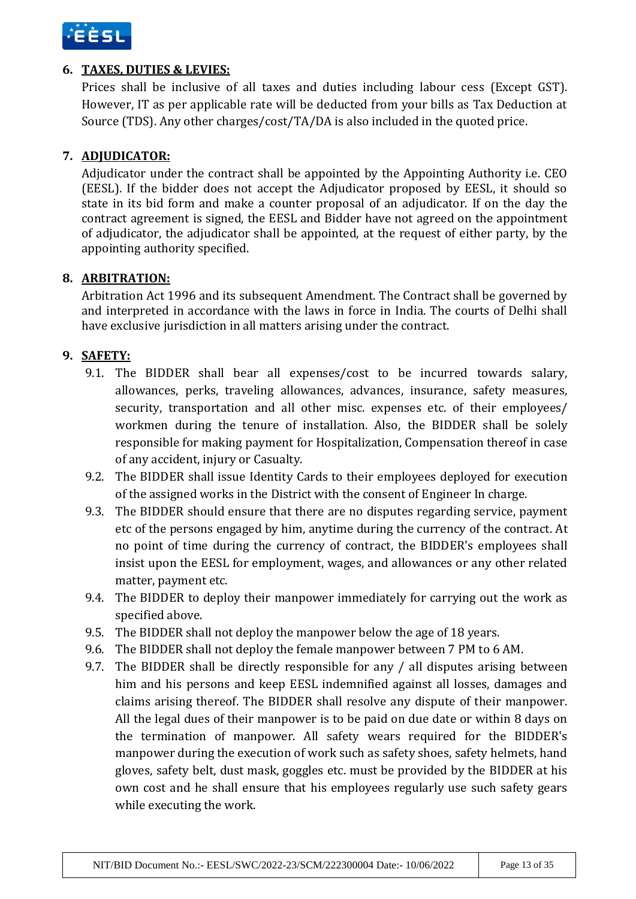

# **6. TAXES, DUTIES & LEVIES:**

Prices shall be inclusive of all taxes and duties including labour cess (Except GST). However, IT as per applicable rate will be deducted from your bills as Tax Deduction at Source (TDS). Any other charges/cost/TA/DA is also included in the quoted price.

# **7. ADJUDICATOR:**

Adjudicator under the contract shall be appointed by the Appointing Authority i.e. CEO (EESL). If the bidder does not accept the Adjudicator proposed by EESL, it should so state in its bid form and make a counter proposal of an adjudicator. If on the day the contract agreement is signed, the EESL and Bidder have not agreed on the appointment of adjudicator, the adjudicator shall be appointed, at the request of either party, by the appointing authority specified.

# **8. ARBITRATION:**

Arbitration Act 1996 and its subsequent Amendment. The Contract shall be governed by and interpreted in accordance with the laws in force in India. The courts of Delhi shall have exclusive jurisdiction in all matters arising under the contract.

# **9. SAFETY:**

- 9.1. The BIDDER shall bear all expenses/cost to be incurred towards salary, allowances, perks, traveling allowances, advances, insurance, safety measures, security, transportation and all other misc. expenses etc. of their employees/ workmen during the tenure of installation. Also, the BIDDER shall be solely responsible for making payment for Hospitalization, Compensation thereof in case of any accident, injury or Casualty.
- 9.2. The BIDDER shall issue Identity Cards to their employees deployed for execution of the assigned works in the District with the consent of Engineer In charge.
- 9.3. The BIDDER should ensure that there are no disputes regarding service, payment etc of the persons engaged by him, anytime during the currency of the contract. At no point of time during the currency of contract, the BIDDER's employees shall insist upon the EESL for employment, wages, and allowances or any other related matter, payment etc.
- 9.4. The BIDDER to deploy their manpower immediately for carrying out the work as specified above.
- 9.5. The BIDDER shall not deploy the manpower below the age of 18 years.
- 9.6. The BIDDER shall not deploy the female manpower between 7 PM to 6 AM.
- 9.7. The BIDDER shall be directly responsible for any / all disputes arising between him and his persons and keep EESL indemnified against all losses, damages and claims arising thereof. The BIDDER shall resolve any dispute of their manpower. All the legal dues of their manpower is to be paid on due date or within 8 days on the termination of manpower. All safety wears required for the BIDDER's manpower during the execution of work such as safety shoes, safety helmets, hand gloves, safety belt, dust mask, goggles etc. must be provided by the BIDDER at his own cost and he shall ensure that his employees regularly use such safety gears while executing the work.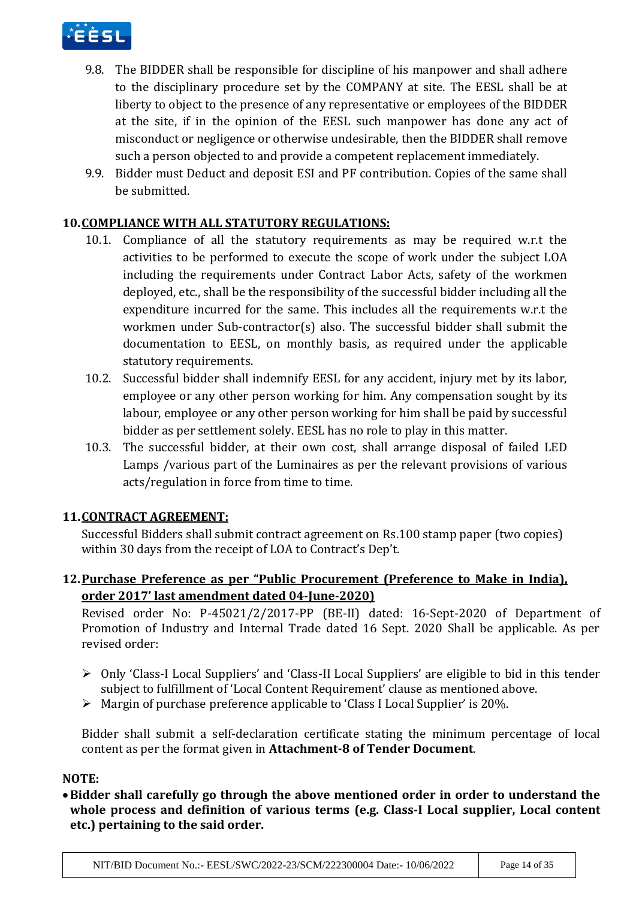

- 9.8. The BIDDER shall be responsible for discipline of his manpower and shall adhere to the disciplinary procedure set by the COMPANY at site. The EESL shall be at liberty to object to the presence of any representative or employees of the BIDDER at the site, if in the opinion of the EESL such manpower has done any act of misconduct or negligence or otherwise undesirable, then the BIDDER shall remove such a person objected to and provide a competent replacement immediately.
- 9.9. Bidder must Deduct and deposit ESI and PF contribution. Copies of the same shall be submitted.

## **10.COMPLIANCE WITH ALL STATUTORY REGULATIONS:**

- 10.1. Compliance of all the statutory requirements as may be required w.r.t the activities to be performed to execute the scope of work under the subject LOA including the requirements under Contract Labor Acts, safety of the workmen deployed, etc., shall be the responsibility of the successful bidder including all the expenditure incurred for the same. This includes all the requirements w.r.t the workmen under Sub-contractor(s) also. The successful bidder shall submit the documentation to EESL, on monthly basis, as required under the applicable statutory requirements.
- 10.2. Successful bidder shall indemnify EESL for any accident, injury met by its labor, employee or any other person working for him. Any compensation sought by its labour, employee or any other person working for him shall be paid by successful bidder as per settlement solely. EESL has no role to play in this matter.
- 10.3. The successful bidder, at their own cost, shall arrange disposal of failed LED Lamps /various part of the Luminaires as per the relevant provisions of various acts/regulation in force from time to time.

## **11.CONTRACT AGREEMENT:**

Successful Bidders shall submit contract agreement on Rs.100 stamp paper (two copies) within 30 days from the receipt of LOA to Contract's Dep't.

# **12.Purchase Preference as per "Public Procurement (Preference to Make in India), order 2017' last amendment dated 04-June-2020)**

Revised order No: P-45021/2/2017-PP (BE-II) dated: 16-Sept-2020 of Department of Promotion of Industry and Internal Trade dated 16 Sept. 2020 Shall be applicable. As per revised order:

- Only 'Class-I Local Suppliers' and 'Class-II Local Suppliers' are eligible to bid in this tender subject to fulfillment of 'Local Content Requirement' clause as mentioned above.
- Margin of purchase preference applicable to 'Class I Local Supplier' is 20%.

Bidder shall submit a self-declaration certificate stating the minimum percentage of local content as per the format given in **Attachment-8 of Tender Document**.

## **NOTE:**

**Bidder shall carefully go through the above mentioned order in order to understand the whole process and definition of various terms (e.g. Class-I Local supplier, Local content etc.) pertaining to the said order.**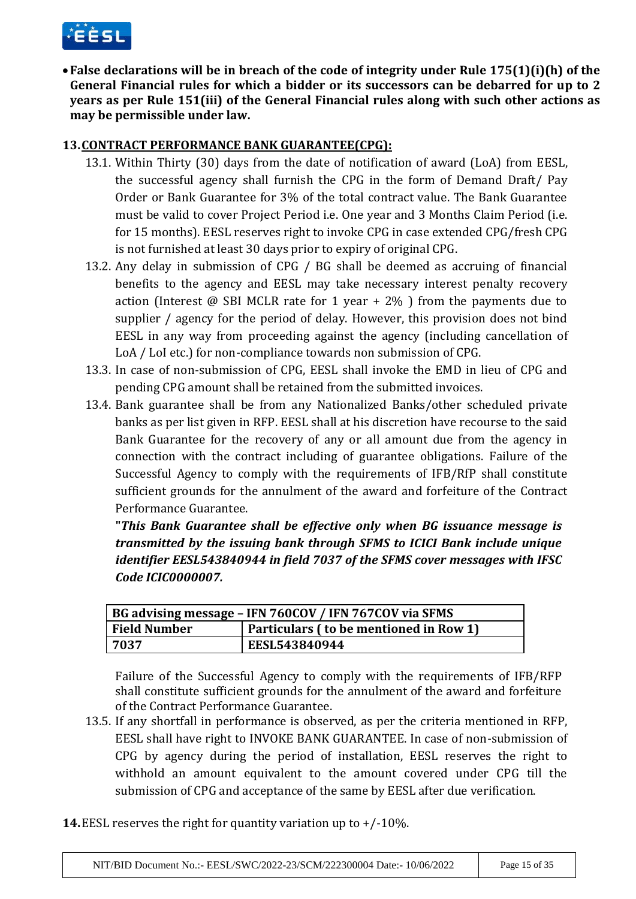

**False declarations will be in breach of the code of integrity under Rule 175(1)(i)(h) of the General Financial rules for which a bidder or its successors can be debarred for up to 2 years as per Rule 151(iii) of the General Financial rules along with such other actions as may be permissible under law.**

## **13.CONTRACT PERFORMANCE BANK GUARANTEE(CPG):**

- 13.1. Within Thirty (30) days from the date of notification of award (LoA) from EESL, the successful agency shall furnish the CPG in the form of Demand Draft/ Pay Order or Bank Guarantee for 3% of the total contract value. The Bank Guarantee must be valid to cover Project Period i.e. One year and 3 Months Claim Period (i.e. for 15 months). EESL reserves right to invoke CPG in case extended CPG/fresh CPG is not furnished at least 30 days prior to expiry of original CPG.
- 13.2. Any delay in submission of CPG / BG shall be deemed as accruing of financial benefits to the agency and EESL may take necessary interest penalty recovery action (Interest  $\omega$  SBI MCLR rate for 1 year + 2%) from the payments due to supplier / agency for the period of delay. However, this provision does not bind EESL in any way from proceeding against the agency (including cancellation of LoA / LoI etc.) for non-compliance towards non submission of CPG.
- 13.3. In case of non-submission of CPG, EESL shall invoke the EMD in lieu of CPG and pending CPG amount shall be retained from the submitted invoices.
- 13.4. Bank guarantee shall be from any Nationalized Banks/other scheduled private banks as per list given in RFP. EESL shall at his discretion have recourse to the said Bank Guarantee for the recovery of any or all amount due from the agency in connection with the contract including of guarantee obligations. Failure of the Successful Agency to comply with the requirements of IFB/RfP shall constitute sufficient grounds for the annulment of the award and forfeiture of the Contract Performance Guarantee.

**"***This Bank Guarantee shall be effective only when BG issuance message is transmitted by the issuing bank through SFMS to ICICI Bank include unique identifier EESL543840944 in field 7037 of the SFMS cover messages with IFSC Code ICIC0000007.*

| BG advising message - IFN 760COV / IFN 767COV via SFMS |               |                                        |  |
|--------------------------------------------------------|---------------|----------------------------------------|--|
| <b>Field Number</b>                                    |               | Particulars (to be mentioned in Row 1) |  |
| 7037                                                   | EESL543840944 |                                        |  |

Failure of the Successful Agency to comply with the requirements of IFB/RFP shall constitute sufficient grounds for the annulment of the award and forfeiture of the Contract Performance Guarantee.

- 13.5. If any shortfall in performance is observed, as per the criteria mentioned in RFP, EESL shall have right to INVOKE BANK GUARANTEE. In case of non-submission of CPG by agency during the period of installation, EESL reserves the right to withhold an amount equivalent to the amount covered under CPG till the submission of CPG and acceptance of the same by EESL after due verification.
- **14.**EESL reserves the right for quantity variation up to +/-10%.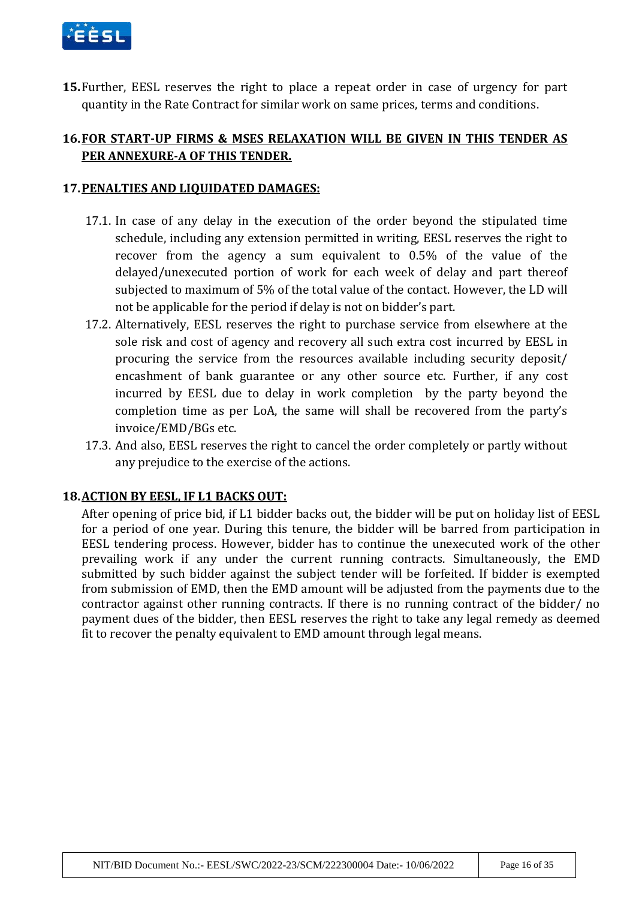

**15.**Further, EESL reserves the right to place a repeat order in case of urgency for part quantity in the Rate Contract for similar work on same prices, terms and conditions.

## **16.FOR START-UP FIRMS & MSES RELAXATION WILL BE GIVEN IN THIS TENDER AS PER ANNEXURE-A OF THIS TENDER.**

### **17.PENALTIES AND LIQUIDATED DAMAGES:**

- 17.1. In case of any delay in the execution of the order beyond the stipulated time schedule, including any extension permitted in writing, EESL reserves the right to recover from the agency a sum equivalent to 0.5% of the value of the delayed/unexecuted portion of work for each week of delay and part thereof subjected to maximum of 5% of the total value of the contact. However, the LD will not be applicable for the period if delay is not on bidder's part.
- 17.2. Alternatively, EESL reserves the right to purchase service from elsewhere at the sole risk and cost of agency and recovery all such extra cost incurred by EESL in procuring the service from the resources available including security deposit/ encashment of bank guarantee or any other source etc. Further, if any cost incurred by EESL due to delay in work completion by the party beyond the completion time as per LoA, the same will shall be recovered from the party's invoice/EMD/BGs etc.
- 17.3. And also, EESL reserves the right to cancel the order completely or partly without any prejudice to the exercise of the actions.

### **18.ACTION BY EESL, IF L1 BACKS OUT:**

After opening of price bid, if L1 bidder backs out, the bidder will be put on holiday list of EESL for a period of one year. During this tenure, the bidder will be barred from participation in EESL tendering process. However, bidder has to continue the unexecuted work of the other prevailing work if any under the current running contracts. Simultaneously, the EMD submitted by such bidder against the subject tender will be forfeited. If bidder is exempted from submission of EMD, then the EMD amount will be adjusted from the payments due to the contractor against other running contracts. If there is no running contract of the bidder/ no payment dues of the bidder, then EESL reserves the right to take any legal remedy as deemed fit to recover the penalty equivalent to EMD amount through legal means.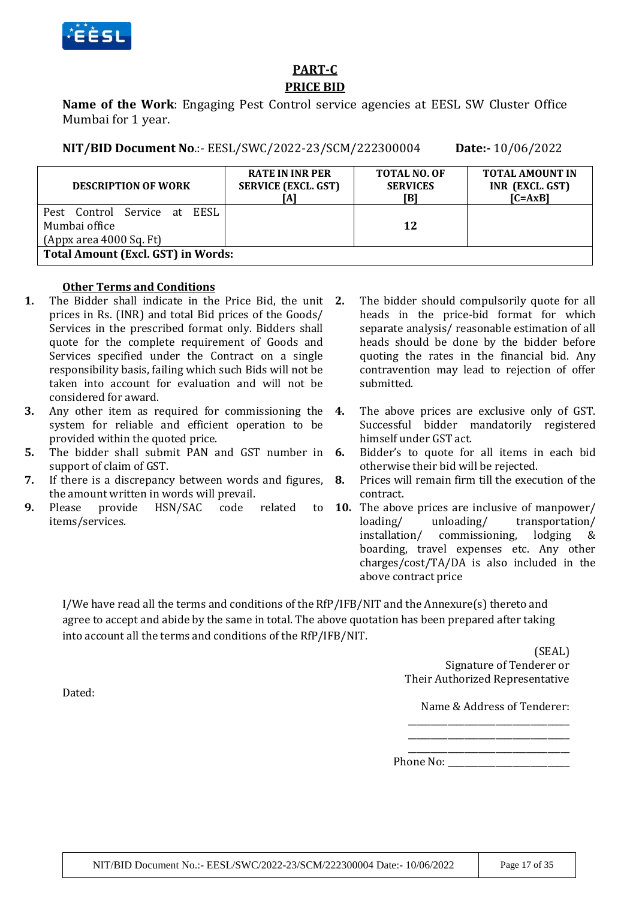

# **PART-C PRICE BID**

**Name of the Work**: Engaging Pest Control service agencies at EESL SW Cluster Office Mumbai for 1 year.

**NIT/BID Document No**.:- EESL/SWC/2022-23/SCM/222300004 **Date:-** 10/06/2022

| <b>DESCRIPTION OF WORK</b>                  | <b>RATE IN INR PER</b><br><b>SERVICE (EXCL. GST)</b> | <b>TOTAL NO. OF</b><br><b>SERVICES</b><br>[B] | <b>TOTAL AMOUNT IN</b><br>INR (EXCL. GST)<br>$[C=AxB]$ |  |
|---------------------------------------------|------------------------------------------------------|-----------------------------------------------|--------------------------------------------------------|--|
| Pest Control Service at EESL                |                                                      |                                               |                                                        |  |
| Mumbai office                               |                                                      | 12                                            |                                                        |  |
| $(Appx \text{ area } 4000 \text{ Sq. } Ft)$ |                                                      |                                               |                                                        |  |
| <b>Total Amount (Excl. GST) in Words:</b>   |                                                      |                                               |                                                        |  |

### **Other Terms and Conditions**

- **1.** The Bidder shall indicate in the Price Bid, the unit prices in Rs. (INR) and total Bid prices of the Goods/ Services in the prescribed format only. Bidders shall quote for the complete requirement of Goods and Services specified under the Contract on a single responsibility basis, failing which such Bids will not be taken into account for evaluation and will not be considered for award.
- **3.** Any other item as required for commissioning the 4. system for reliable and efficient operation to be provided within the quoted price.
- **5.** The bidder shall submit PAN and GST number in **6.** support of claim of GST.
- **7.** If there is a discrepancy between words and figures, the amount written in words will prevail.
- **9.** Please provide HSN/SAC code related items/services.
- **2.** The bidder should compulsorily quote for all heads in the price-bid format for which separate analysis/ reasonable estimation of all heads should be done by the bidder before quoting the rates in the financial bid. Any contravention may lead to rejection of offer submitted.
- **4.** The above prices are exclusive only of GST. Successful bidder mandatorily registered himself under GST act.
- **6.** Bidder's to quote for all items in each bid otherwise their bid will be rejected.
- **8.** Prices will remain firm till the execution of the contract.
- **10.** The above prices are inclusive of manpower/ loading/ unloading/ transportation/ installation/ commissioning, lodging & boarding, travel expenses etc. Any other charges/cost/TA/DA is also included in the above contract price

I/We have read all the terms and conditions of the RfP/IFB/NIT and the Annexure(s) thereto and agree to accept and abide by the same in total. The above quotation has been prepared after taking into account all the terms and conditions of the RfP/IFB/NIT.

> (SEAL) Signature of Tenderer or Their Authorized Representative

Name & Address of Tenderer: \_\_\_\_\_\_\_\_\_\_\_\_\_\_\_\_\_\_\_\_\_\_\_\_\_\_\_\_\_\_\_\_\_\_\_\_\_

\_\_\_\_\_\_\_\_\_\_\_\_\_\_\_\_\_\_\_\_\_\_\_\_\_\_\_\_\_\_\_\_\_\_\_\_\_

\_\_\_\_\_\_\_\_\_\_\_\_\_\_\_\_\_\_\_\_\_\_\_\_\_\_\_\_\_\_\_\_\_\_\_\_\_ Phone No:

Dated: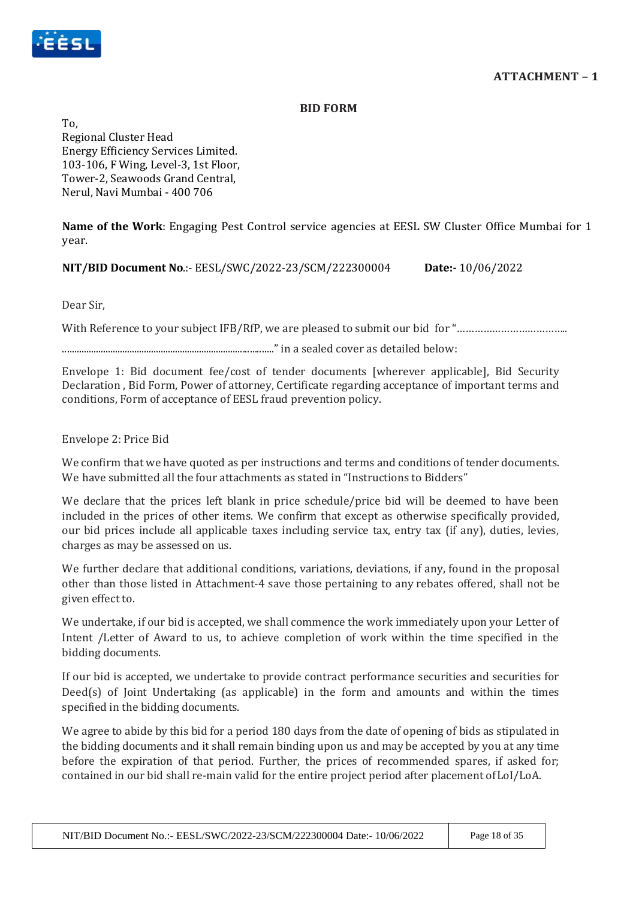

#### **BID FORM**

To, Regional Cluster Head Energy Efficiency Services Limited. 103-106, F Wing, Level-3, 1st Floor, Tower-2, Seawoods Grand Central, Nerul, Navi Mumbai - 400 706

**Name of the Work**: Engaging Pest Control service agencies at EESL SW Cluster Office Mumbai for 1 year.

**NIT/BID Document No**.:- EESL/SWC/2022-23/SCM/222300004 **Date:-** 10/06/2022

Dear Sir,

With Reference to your subject IFB/RfP, we are pleased to submit our bid for "……………………………………………………………………………………

........................................................................................" in a sealed cover as detailed below:

Envelope 1: Bid document fee/cost of tender documents [wherever applicable], Bid Security Declaration , Bid Form, Power of attorney, Certificate regarding acceptance of important terms and conditions, Form of acceptance of EESL fraud prevention policy.

### Envelope 2: Price Bid

We confirm that we have quoted as per instructions and terms and conditions of tender documents. We have submitted all the four attachments as stated in "Instructions to Bidders"

We declare that the prices left blank in price schedule/price bid will be deemed to have been included in the prices of other items. We confirm that except as otherwise specifically provided, our bid prices include all applicable taxes including service tax, entry tax (if any), duties, levies, charges as may be assessed on us.

We further declare that additional conditions, variations, deviations, if any, found in the proposal other than those listed in Attachment-4 save those pertaining to any rebates offered, shall not be given effect to.

We undertake, if our bid is accepted, we shall commence the work immediately upon your Letter of Intent /Letter of Award to us, to achieve completion of work within the time specified in the bidding documents.

If our bid is accepted, we undertake to provide contract performance securities and securities for Deed(s) of Joint Undertaking (as applicable) in the form and amounts and within the times specified in the bidding documents.

We agree to abide by this bid for a period 180 days from the date of opening of bids as stipulated in the bidding documents and it shall remain binding upon us and may be accepted by you at any time before the expiration of that period. Further, the prices of recommended spares, if asked for; contained in our bid shall re-main valid for the entire project period after placement ofLoI/LoA.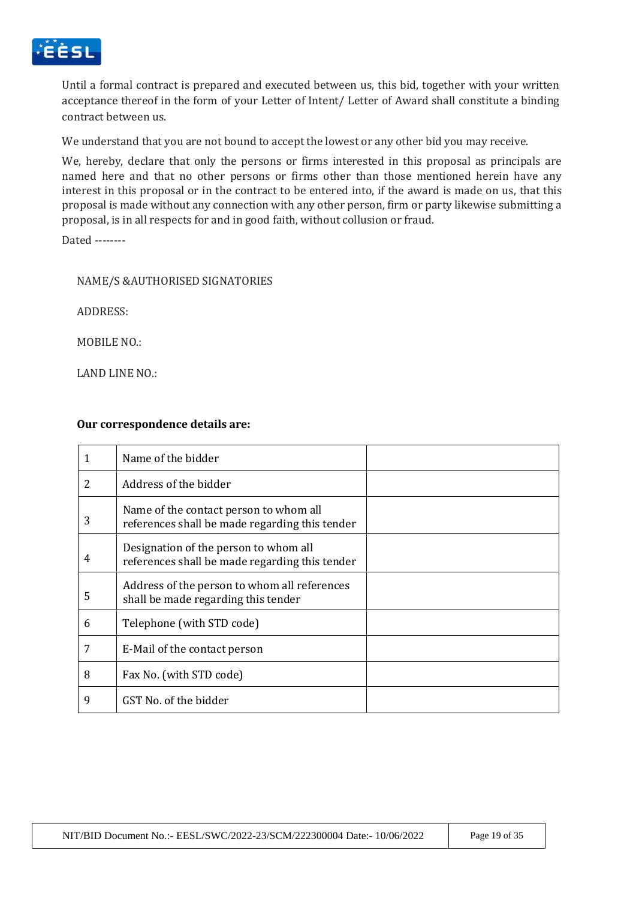

Until a formal contract is prepared and executed between us, this bid, together with your written acceptance thereof in the form of your Letter of Intent/ Letter of Award shall constitute a binding contract between us.

We understand that you are not bound to accept the lowest or any other bid you may receive.

We, hereby, declare that only the persons or firms interested in this proposal as principals are named here and that no other persons or firms other than those mentioned herein have any interest in this proposal or in the contract to be entered into, if the award is made on us, that this proposal is made without any connection with any other person, firm or party likewise submitting a proposal, is in all respects for and in good faith, without collusion or fraud.

Dated --------

#### NAME/S &AUTHORISED SIGNATORIES

ADDRESS:

MOBILE NO.:

LAND LINE NO.:

#### **Our correspondence details are:**

|   | Name of the bidder                                                                       |  |
|---|------------------------------------------------------------------------------------------|--|
| 2 | Address of the bidder                                                                    |  |
| 3 | Name of the contact person to whom all<br>references shall be made regarding this tender |  |
| 4 | Designation of the person to whom all<br>references shall be made regarding this tender  |  |
| 5 | Address of the person to whom all references<br>shall be made regarding this tender      |  |
| 6 | Telephone (with STD code)                                                                |  |
| 7 | E-Mail of the contact person                                                             |  |
| 8 | Fax No. (with STD code)                                                                  |  |
| 9 | GST No. of the bidder                                                                    |  |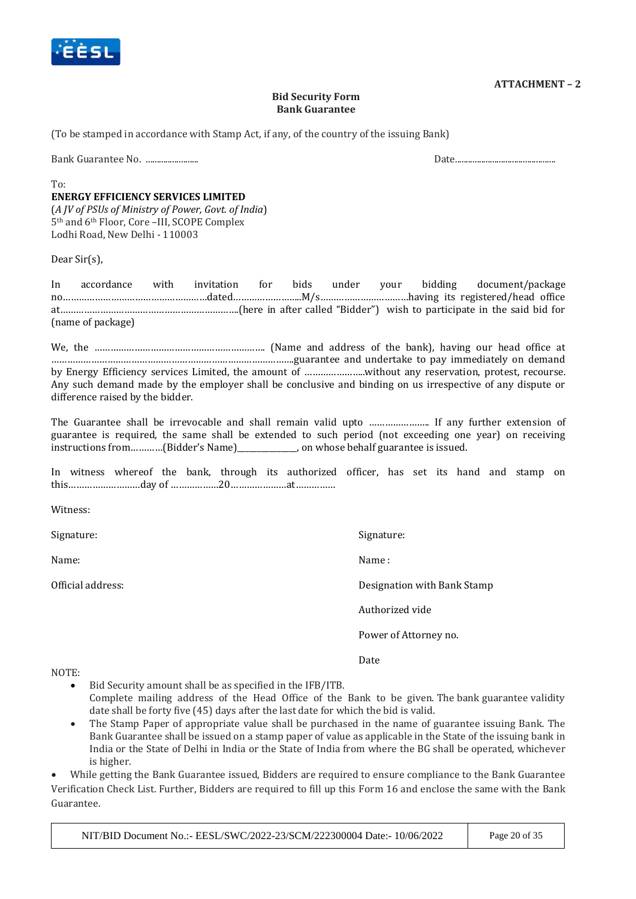

#### **ATTACHMENT – 2**

#### **Bid Security Form Bank Guarantee**

(To be stamped in accordance with Stamp Act, if any, of the country of the issuing Bank)

Bank Guarantee No. ........................ Date..............................................

 $T_0$ 

#### **ENERGY EFFICIENCY SERVICES LIMITED**

(*A JV of PSUs of Ministry of Power, Govt. of India*) 5th and 6th Floor, Core –III, SCOPE Complex Lodhi Road, New Delhi - 110003

Dear Sir(s),

In accordance with invitation for bids under your bidding document/package no………………………………………………dated……………………..M/s……………………………having its registered/head office at………………………………………………………….(here in after called "Bidder") wish to participate in the said bid for (name of package)

We, the ………………………………………………………. (Name and address of the bank), having our head office at ……………………………………………………………………………….guarantee and undertake to pay immediately on demand by Energy Efficiency services Limited, the amount of …………………..without any reservation, protest, recourse. Any such demand made by the employer shall be conclusive and binding on us irrespective of any dispute or difference raised by the bidder.

The Guarantee shall be irrevocable and shall remain valid upto ………………….. If any further extension of guarantee is required, the same shall be extended to such period (not exceeding one year) on receiving instructions from…………(Bidder's Name)\_\_\_\_\_\_\_\_\_\_\_\_\_\_\_, on whose behalf guarantee is issued.

In witness whereof the bank, through its authorized officer, has set its hand and stamp on this………………………day of ………………20…………………at……………

Witness:

Signature: Signature: Signature: Signature: Signature: Signature: Signature: Signature: Signature: Signature: Signature: Signature: Signature: Signature: Signature: Signature: Signature: Signature: Signature: Signature: Si

Name: Name : Name : Name : Name : Name : Name : Name : Name : Name : Name : Name : Name : Name : Name : Name :  $\mathbb{N}$ 

Official address: Designation with Bank Stamp

Authorized vide

Power of Attorney no.

Date

NOTE:

- Bid Security amount shall be as specified in the IFB/ITB. Complete mailing address of the Head Office of the Bank to be given. The bank guarantee validity date shall be forty five (45) days after the last date for which the bid is valid.
- The Stamp Paper of appropriate value shall be purchased in the name of guarantee issuing Bank. The Bank Guarantee shall be issued on a stamp paper of value as applicable in the State of the issuing bank in India or the State of Delhi in India or the State of India from where the BG shall be operated, whichever is higher.

 While getting the Bank Guarantee issued, Bidders are required to ensure compliance to the Bank Guarantee Verification Check List. Further, Bidders are required to fill up this Form 16 and enclose the same with the Bank Guarantee.

NIT/BID Document No.:- EESL/SWC/2022-23/SCM/222300004 Date:- 10/06/2022 Page 20 of 35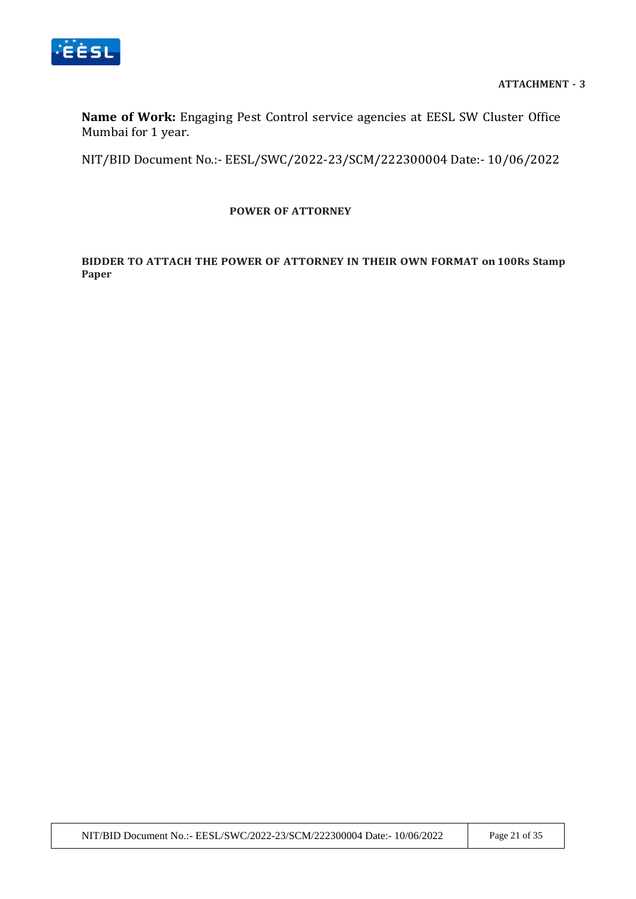

**Name of Work:** Engaging Pest Control service agencies at EESL SW Cluster Office Mumbai for 1 year.

NIT/BID Document No.:- EESL/SWC/2022-23/SCM/222300004 Date:- 10/06/2022

### **POWER OF ATTORNEY**

### **BIDDER TO ATTACH THE POWER OF ATTORNEY IN THEIR OWN FORMAT on 100Rs Stamp Paper**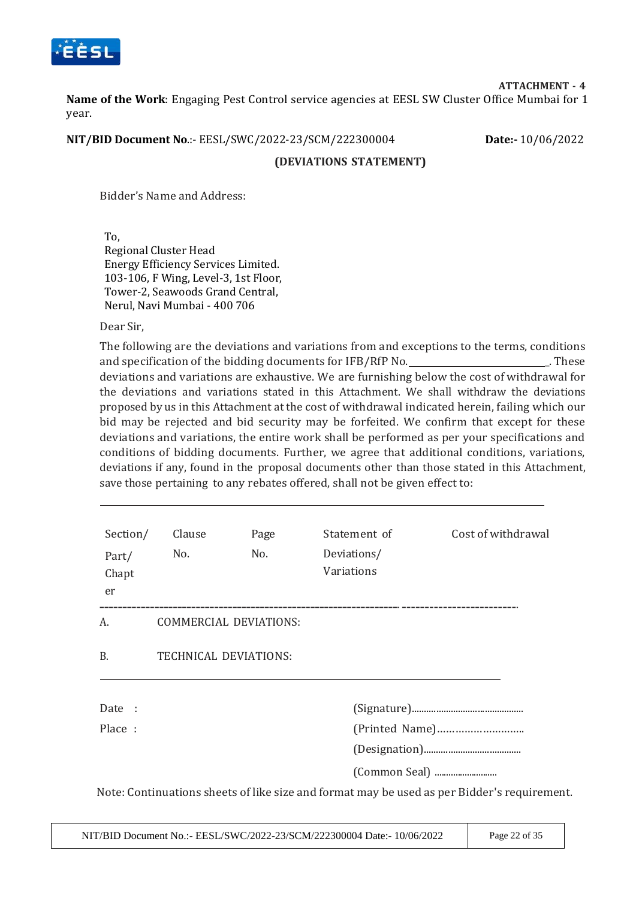

**ATTACHMENT - 4**

**Name of the Work**: Engaging Pest Control service agencies at EESL SW Cluster Office Mumbai for 1 year.

**NIT/BID Document No**.:- EESL/SWC/2022-23/SCM/222300004 **Date:-** 10/06/2022

#### **(DEVIATIONS STATEMENT)**

Bidder's Name and Address:

To, Regional Cluster Head Energy Efficiency Services Limited. 103-106, F Wing, Level-3, 1st Floor, Tower-2, Seawoods Grand Central, Nerul, Navi Mumbai - 400 706

Dear Sir,

The following are the deviations and variations from and exceptions to the terms, conditions and specification of the bidding documents for  $IFB/RFN$ . These deviations and variations are exhaustive. We are furnishing below the cost of withdrawal for the deviations and variations stated in this Attachment. We shall withdraw the deviations proposed by us in this Attachment at the cost of withdrawal indicated herein, failing which our bid may be rejected and bid security may be forfeited. We confirm that except for these deviations and variations, the entire work shall be performed as per your specifications and conditions of bidding documents. Further, we agree that additional conditions, variations, deviations if any, found in the proposal documents other than those stated in this Attachment, save those pertaining to any rebates offered, shall not be given effect to:

| Section/<br>Part/<br>Chapt<br>er | Clause<br>No.                | Page<br>No. | Statement of<br>Deviations/<br>Variations | Cost of withdrawal                                                                          |
|----------------------------------|------------------------------|-------------|-------------------------------------------|---------------------------------------------------------------------------------------------|
| А.                               | COMMERCIAL DEVIATIONS:       |             |                                           |                                                                                             |
| <b>B.</b>                        | <b>TECHNICAL DEVIATIONS:</b> |             |                                           |                                                                                             |
| Date :                           |                              |             |                                           |                                                                                             |
| Place:                           |                              |             |                                           |                                                                                             |
|                                  |                              |             |                                           |                                                                                             |
|                                  |                              |             |                                           |                                                                                             |
|                                  |                              |             |                                           | Note: Continuations sheets of like size and format may be used as per Bidder's requirement. |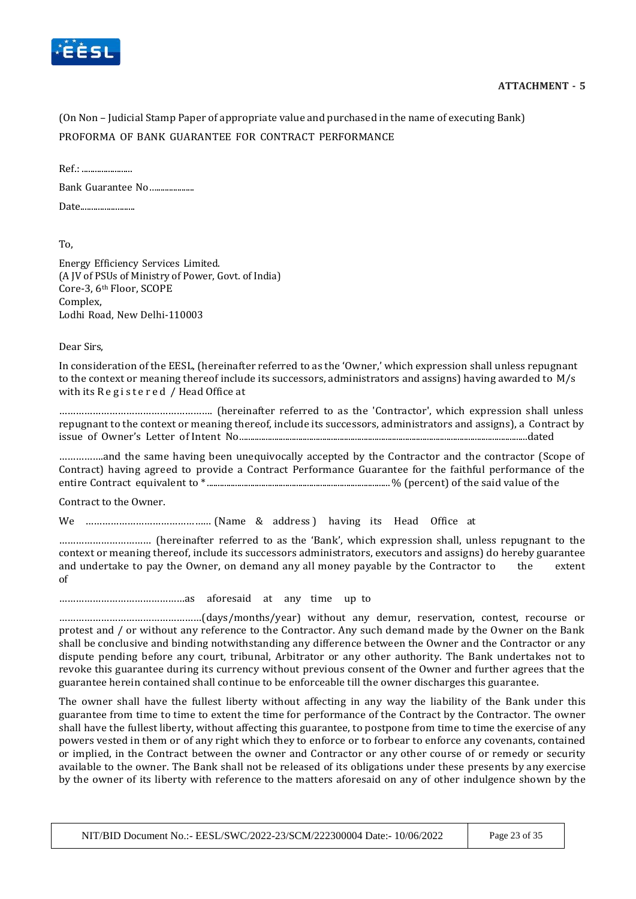

(On Non – Judicial Stamp Paper of appropriate value and purchased in the name of executing Bank) PROFORMA OF BANK GUARANTEE FOR CONTRACT PERFORMANCE

Ref.: ....................... Bank Guarantee No….................. Date.........................

To,

Energy Efficiency Services Limited. (A JV of PSUs of Ministry of Power, Govt. of India) Core-3, 6th Floor, SCOPE Complex, Lodhi Road, New Delhi-110003

Dear Sirs,

In consideration of the EESL, (hereinafter referred to as the 'Owner,' which expression shall unless repugnant to the context or meaning thereof include its successors, administrators and assigns) having awarded to M/s with its Registered / Head Office at

………………………………………………. (hereinafter referred to as the 'Contractor', which expression shall unless repugnant to the context or meaning thereof, include its successors, administrators and assigns), a Contract by issue of Owner's Letter of Intent No....................................................................................................................................dated

…………….and the same having been unequivocally accepted by the Contractor and the contractor (Scope of Contract) having agreed to provide a Contract Performance Guarantee for the faithful performance of the entire Contract equivalent to \* .................................................................................... % (percent) of the said value of the

Contract to the Owner.

We ……………………………………… (Name & address ) having its Head Office at

…………………………… (hereinafter referred to as the 'Bank', which expression shall, unless repugnant to the context or meaning thereof, include its successors administrators, executors and assigns) do hereby guarantee and undertake to pay the Owner, on demand any all money payable by the Contractor to the extent of

………………………………………as aforesaid at any time up to

……………………………………………(days/months/year) without any demur, reservation, contest, recourse or protest and / or without any reference to the Contractor. Any such demand made by the Owner on the Bank shall be conclusive and binding notwithstanding any difference between the Owner and the Contractor or any dispute pending before any court, tribunal, Arbitrator or any other authority. The Bank undertakes not to revoke this guarantee during its currency without previous consent of the Owner and further agrees that the guarantee herein contained shall continue to be enforceable till the owner discharges this guarantee.

The owner shall have the fullest liberty without affecting in any way the liability of the Bank under this guarantee from time to time to extent the time for performance of the Contract by the Contractor. The owner shall have the fullest liberty, without affecting this guarantee, to postpone from time to time the exercise of any powers vested in them or of any right which they to enforce or to forbear to enforce any covenants, contained or implied, in the Contract between the owner and Contractor or any other course of or remedy or security available to the owner. The Bank shall not be released of its obligations under these presents by any exercise by the owner of its liberty with reference to the matters aforesaid on any of other indulgence shown by the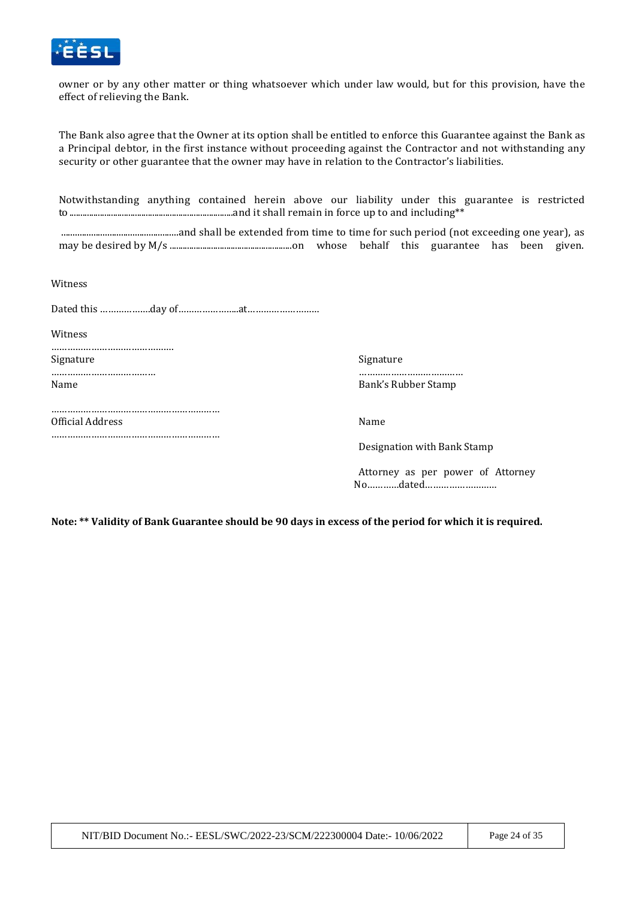

owner or by any other matter or thing whatsoever which under law would, but for this provision, have the effect of relieving the Bank.

The Bank also agree that the Owner at its option shall be entitled to enforce this Guarantee against the Bank as a Principal debtor, in the first instance without proceeding against the Contractor and not withstanding any security or other guarantee that the owner may have in relation to the Contractor's liabilities.

Notwithstanding anything contained herein above our liability under this guarantee is restricted to ...........................................................................and it shall remain in force up to and including\*\*

...................................................and shall be extended from time to time for such period (not exceeding one year), as may be desired by M/s ........................................................on whose behalf this guarantee has been given.

Witness

Dated this ……………….day of…………………..at………………………

**Witness** 

………………………………………. Signature Signature Signature Signature Signature Signature Signature Signature Signature Signature Signature  $\sim$ ………………………………… ………………………………… Name Bank's Rubber Stamp

………………………………………………………

………………………………………………………

Official Address Name

Designation with Bank Stamp

Attorney as per power of Attorney No…………dated………………………

**Note: \*\* Validity of Bank Guarantee should be 90 days in excess of the period for which it is required.**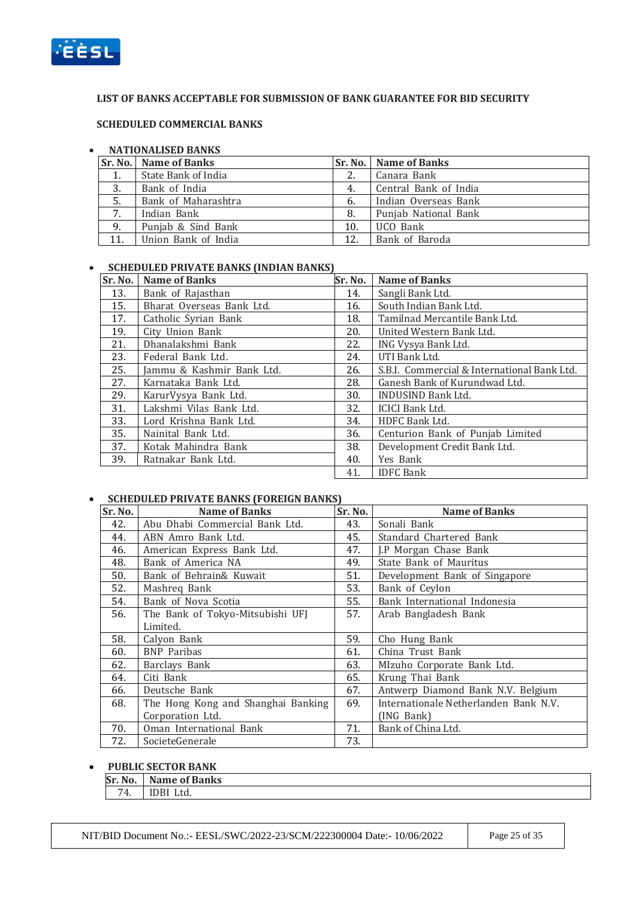

#### **LIST OF BANKS ACCEPTABLE FOR SUBMISSION OF BANK GUARANTEE FOR BID SECURITY**

#### **SCHEDULED COMMERCIAL BANKS**

#### **NATIONALISED BANKS**

|     | Sr. No.   Name of Banks |     | <b>Sr. No.   Name of Banks</b> |
|-----|-------------------------|-----|--------------------------------|
| 1.  | State Bank of India     |     | Canara Bank                    |
| 3.  | Bank of India           | 4.  | Central Bank of India          |
| 5.  | Bank of Maharashtra     | 6.  | Indian Overseas Bank           |
| 7.  | Indian Bank             | 8.  | Punjab National Bank           |
| 9.  | Punjab & Sind Bank      | 10. | UCO Bank                       |
| 11. | Union Bank of India     | 12. | Bank of Baroda                 |

#### **SCHEDULED PRIVATE BANKS (INDIAN BANKS)**

| Sr. No. | <b>Name of Banks</b>      | Sr. No. | <b>Name of Banks</b>                        |
|---------|---------------------------|---------|---------------------------------------------|
| 13.     | Bank of Rajasthan         | 14.     | Sangli Bank Ltd.                            |
| 15.     | Bharat Overseas Bank Ltd. | 16.     | South Indian Bank Ltd.                      |
| 17.     | Catholic Syrian Bank      | 18.     | Tamilnad Mercantile Bank Ltd.               |
| 19.     | City Union Bank           | 20.     | United Western Bank Ltd.                    |
| 21.     | Dhanalakshmi Bank         | 22.     | ING Vysya Bank Ltd.                         |
| 23.     | Federal Bank Ltd.         | 24.     | UTI Bank Ltd.                               |
| 25.     | Jammu & Kashmir Bank Ltd. | 26.     | S.B.I. Commercial & International Bank Ltd. |
| 27.     | Karnataka Bank Ltd.       | 28.     | Ganesh Bank of Kurundwad Ltd.               |
| 29.     | KarurVysya Bank Ltd.      | 30.     | <b>INDUSIND Bank Ltd.</b>                   |
| 31.     | Lakshmi Vilas Bank Ltd.   | 32.     | <b>ICICI Bank Ltd.</b>                      |
| 33.     | Lord Krishna Bank Ltd.    | 34.     | HDFC Bank Ltd.                              |
| 35.     | Nainital Bank Ltd.        | 36.     | Centurion Bank of Punjab Limited            |
| 37.     | Kotak Mahindra Bank       | 38.     | Development Credit Bank Ltd.                |
| 39.     | Ratnakar Bank Ltd.        | 40.     | Yes Bank                                    |
|         |                           | 41.     | <b>IDFC Bank</b>                            |

#### **SCHEDULED PRIVATE BANKS (FOREIGN BANKS)**

| Sr. No. | <b>Name of Banks</b>               | Sr. No. | <b>Name of Banks</b>                  |
|---------|------------------------------------|---------|---------------------------------------|
| 42.     | Abu Dhabi Commercial Bank Ltd.     | 43.     | Sonali Bank                           |
| 44.     | ABN Amro Bank Ltd.                 | 45.     | Standard Chartered Bank               |
| 46.     | American Express Bank Ltd.         | 47.     | J.P Morgan Chase Bank                 |
| 48.     | Bank of America NA                 | 49.     | State Bank of Mauritus                |
| 50.     | Bank of Behrain& Kuwait            | 51.     | Development Bank of Singapore         |
| 52.     | Mashreq Bank                       | 53.     | Bank of Ceylon                        |
| 54.     | Bank of Nova Scotia                | 55.     | Bank International Indonesia          |
| 56.     | The Bank of Tokyo-Mitsubishi UFJ   | 57.     | Arab Bangladesh Bank                  |
|         | Limited.                           |         |                                       |
| 58.     | Calyon Bank                        | 59.     | Cho Hung Bank                         |
| 60.     | <b>BNP</b> Paribas                 | 61.     | China Trust Bank                      |
| 62.     | Barclays Bank                      | 63.     | MIzuho Corporate Bank Ltd.            |
| 64.     | Citi Bank                          | 65.     | Krung Thai Bank                       |
| 66.     | Deutsche Bank                      | 67.     | Antwerp Diamond Bank N.V. Belgium     |
| 68.     | The Hong Kong and Shanghai Banking | 69.     | Internationale Netherlanden Bank N.V. |
|         | Corporation Ltd.                   |         | (ING Bank)                            |
| 70.     | Oman International Bank            | 71.     | Bank of China Ltd.                    |
| 72.     | SocieteGenerale                    | 73.     |                                       |

#### **PUBLIC SECTOR BANK**

|    | <b>Sr. No.</b> Name of Banks |
|----|------------------------------|
| 74 | IDBI Ltd.                    |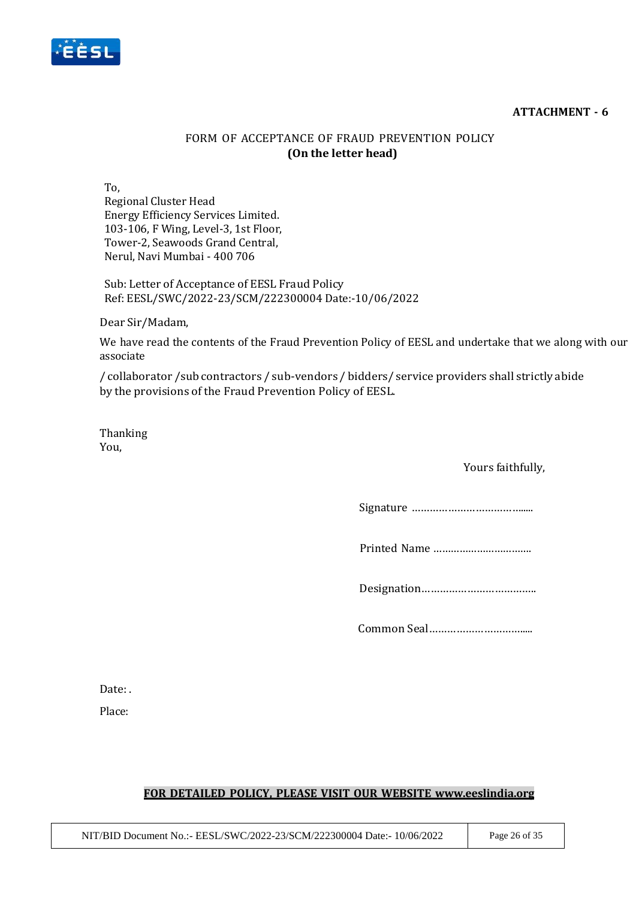#### **ATTACHMENT - 6**



## FORM OF ACCEPTANCE OF FRAUD PREVENTION POLICY **(On the letter head)**

To,

Regional Cluster Head Energy Efficiency Services Limited. 103-106, F Wing, Level-3, 1st Floor, Tower-2, Seawoods Grand Central, Nerul, Navi Mumbai - 400 706

Sub: Letter of Acceptance of EESL Fraud Policy Ref: EESL/SWC/2022-23/SCM/222300004 Date:-10/06/2022

Dear Sir/Madam,

We have read the contents of the Fraud Prevention Policy of EESL and undertake that we along with our associate

/ collaborator /sub contractors / sub-vendors / bidders/ service providers shall strictly abide by the provisions of the Fraud Prevention Policy of EESL.

Thanking You,

### Yours faithfully,

Signature ……………………………….....

Printed Name …………………………….

Designation………………………………..

Common Seal………………………….....

Date: .

Place:

### **FOR DETAILED POLICY, PLEASE VISIT OUR WEBSITE [www.eeslindia.org](http://www.eeslindia.org/)**

NIT/BID Document No.:- EESL/SWC/2022-23/SCM/222300004 Date:- 10/06/2022 Page 26 of 35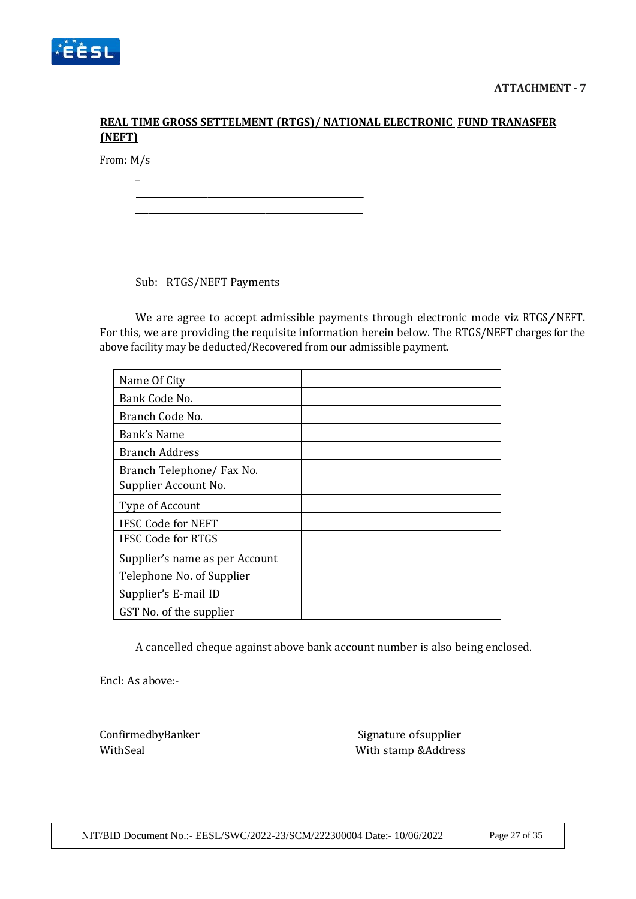

## **REAL TIME GROSS SETTELMENT (RTGS)/ NATIONAL ELECTRONIC FUND TRANASFER (NEFT)**

From: M/s

 $\overline{\phantom{a}}$ 

Sub: RTGS/NEFT Payments

We are agree to accept admissible payments through electronic mode viz RTGS/NEFT. For this, we are providing the requisite information herein below. The RTGS/NEFT charges for the above facility may be deducted/Recovered from our admissible payment.

| Name Of City                   |  |
|--------------------------------|--|
| Bank Code No.                  |  |
| Branch Code No.                |  |
| Bank's Name                    |  |
| <b>Branch Address</b>          |  |
| Branch Telephone/ Fax No.      |  |
| Supplier Account No.           |  |
| Type of Account                |  |
| <b>IFSC Code for NEFT</b>      |  |
| <b>IFSC Code for RTGS</b>      |  |
| Supplier's name as per Account |  |
| Telephone No. of Supplier      |  |
| Supplier's E-mail ID           |  |
| GST No. of the supplier        |  |

A cancelled cheque against above bank account number is also being enclosed.

Encl: As above:-

ConfirmedbyBanker Signature of Supplier With Seal With stamp &Address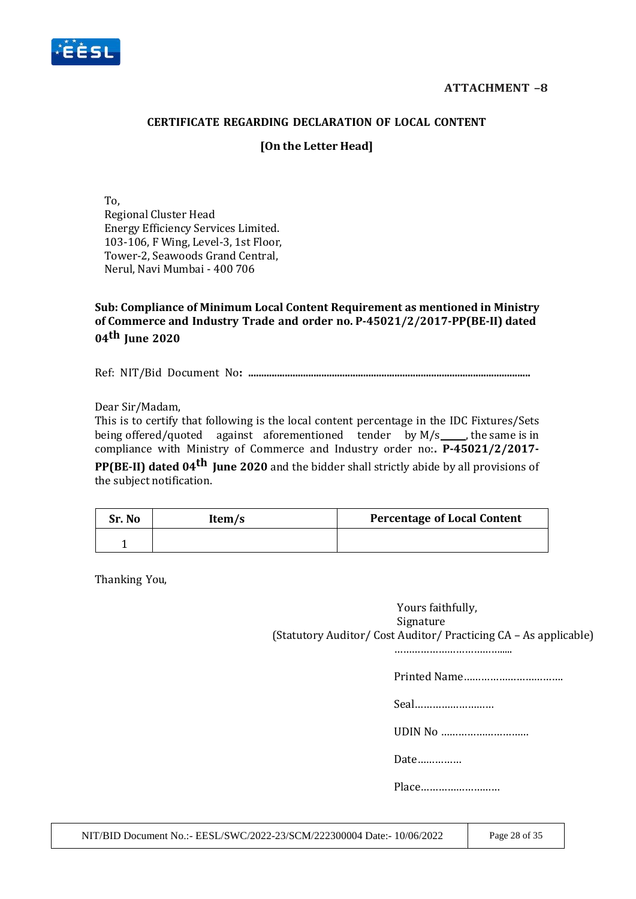

### **CERTIFICATE REGARDING DECLARATION OF LOCAL CONTENT**

### **[On the Letter Head]**

To, Regional Cluster Head Energy Efficiency Services Limited. 103-106, F Wing, Level-3, 1st Floor, Tower-2, Seawoods Grand Central, Nerul, Navi Mumbai - 400 706

**Sub: Compliance of Minimum Local Content Requirement as mentioned in Ministry of Commerce and Industry Trade and order no. P-45021/2/2017-PP(BE-II) dated 04th June 2020**

Ref: NIT/Bid Document No**: ............................................................................................................**

Dear Sir/Madam,

This is to certify that following is the local content percentage in the IDC Fixtures/Sets being offered/quoted against aforementioned tender by  $M/s$  , the same is in compliance with Ministry of Commerce and Industry order no:**. P-45021/2/2017- PP(BE-II) dated 04th June 2020** and the bidder shall strictly abide by all provisions of

the subject notification.

| Sr. No | Item/s | <b>Percentage of Local Content</b> |
|--------|--------|------------------------------------|
|        |        |                                    |

Thanking You,

Yours faithfully, Signature (Statutory Auditor/ Cost Auditor/ Practicing CA – As applicable)

……………………………….....

Printed Name…………………………….

Seal………………………

UDIN No …………………………

Date……………

Place………………………

NIT/BID Document No.:- EESL/SWC/2022-23/SCM/222300004 Date:- 10/06/2022 Page 28 of 35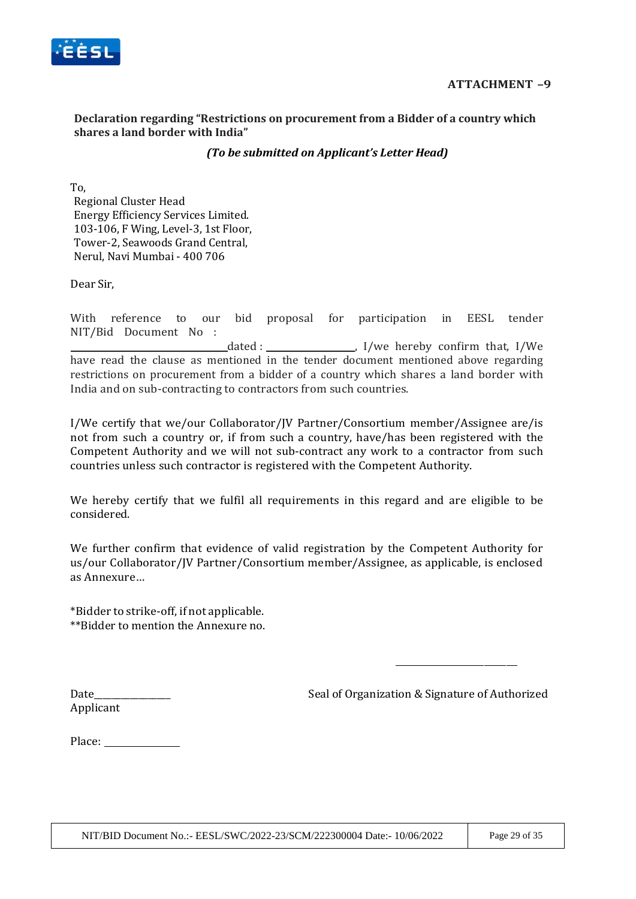

### **Declaration regarding "Restrictions on procurement from a Bidder of a country which shares a land border with India"**

### *(To be submitted on Applicant's Letter Head)*

To, Regional Cluster Head Energy Efficiency Services Limited. 103-106, F Wing, Level-3, 1st Floor, Tower-2, Seawoods Grand Central, Nerul, Navi Mumbai - 400 706

Dear Sir,

With reference to our bid proposal for participation in EESL tender NIT/Bid Document No : dated :  $\frac{1}{\sqrt{1-\frac{1}{\sqrt{1-\frac{1}{\sqrt{1-\frac{1}{\sqrt{1-\frac{1}{\sqrt{1-\frac{1}{\sqrt{1-\frac{1}{\sqrt{1-\frac{1}{\sqrt{1-\frac{1}{\sqrt{1-\frac{1}{\sqrt{1-\frac{1}{\sqrt{1-\frac{1}{\sqrt{1-\frac{1}{\sqrt{1-\frac{1}{\sqrt{1-\frac{1}{\sqrt{1-\frac{1}{\sqrt{1-\frac{1}{\sqrt{1-\frac{1}{\sqrt{1-\frac{1}{\sqrt{1-\frac{1}{\sqrt{1-\frac{1}{\sqrt{1-\frac{1}{\sqrt{1-\frac{1}{\sqrt{1-\frac{1}{\$ have read the clause as mentioned in the tender document mentioned above regarding restrictions on procurement from a bidder of a country which shares a land border with India and on sub-contracting to contractors from such countries.

I/We certify that we/our Collaborator/JV Partner/Consortium member/Assignee are/is not from such a country or, if from such a country, have/has been registered with the Competent Authority and we will not sub-contract any work to a contractor from such countries unless such contractor is registered with the Competent Authority.

We hereby certify that we fulfil all requirements in this regard and are eligible to be considered.

We further confirm that evidence of valid registration by the Competent Authority for us/our Collaborator/JV Partner/Consortium member/Assignee, as applicable, is enclosed as Annexure…

\*Bidder to strike-off, if not applicable. \*\*Bidder to mention the Annexure no.

Date\_\_\_\_\_\_\_\_\_\_\_\_\_\_\_\_\_ Seal of Organization & Signature of Authorized

Applicant

Place: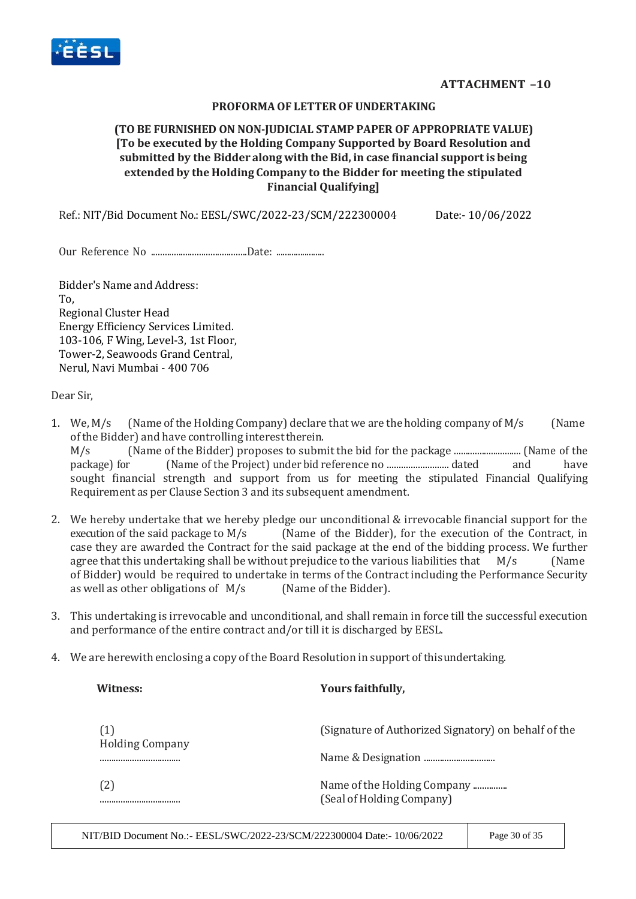

#### **PROFORMAOF LETTEROF UNDERTAKING**

### **(TO BE FURNISHED ON NON-JUDICIAL STAMP PAPER OF APPROPRIATE VALUE) [To be executed by the Holding Company Supported by Board Resolution and submitted by the Bidder along with theBid, in case financial supportis being extended by the Holding Company to the Bidder for meeting the stipulated Financial Qualifying]**

Ref.: NIT/Bid Document No.: EESL/SWC/2022-23/SCM/222300004 Date:- 10/06/2022

Our Reference No ..........................................Date: ......................

Bidder's Name and Address: To, Regional Cluster Head Energy Efficiency Services Limited. 103-106, F Wing, Level-3, 1st Floor, Tower-2, Seawoods Grand Central, Nerul, Navi Mumbai - 400 706

Dear Sir,

- 1. We,  $M/s$  (Name of the Holding Company) declare that we are the holding company of  $M/s$  (Name ofthe Bidder) and have controlling interesttherein. M/s (Name of the Bidder) proposes to submit the bid for the package ............................. (Name of the package) for (Name of the Project) under bid reference no .......................... dated and have sought financial strength and support from us for meeting the stipulated Financial Qualifying Requirement as per Clause Section 3 and its subsequent amendment.
- 2. We hereby undertake that we hereby pledge our unconditional & irrevocable financial support for the execution of the said package to M/s (Name of the Bidder), for the execution of the Contract, in case they are awarded the Contract for the said package at the end of the bidding process. We further agree that this undertaking shall be without prejudice to the various liabilities that  $M/s$  (Name of Bidder) would be required to undertake in terms of the Contract including the Performance Security as well as other obligations of M/s (Name of the Bidder).
- 3. This undertaking is irrevocable and unconditional, and shall remain in force till the successful execution and performance of the entire contract and/or till it is discharged by EESL.
- 4. We are herewith enclosing a copy of the Board Resolution in support of thisundertaking.

| Witness:                      | Yours faithfully,                                        |
|-------------------------------|----------------------------------------------------------|
| (1)<br><b>Holding Company</b> | (Signature of Authorized Signatory) on behalf of the     |
|                               |                                                          |
| 〔2〕<br>                       | Name of the Holding Company<br>(Seal of Holding Company) |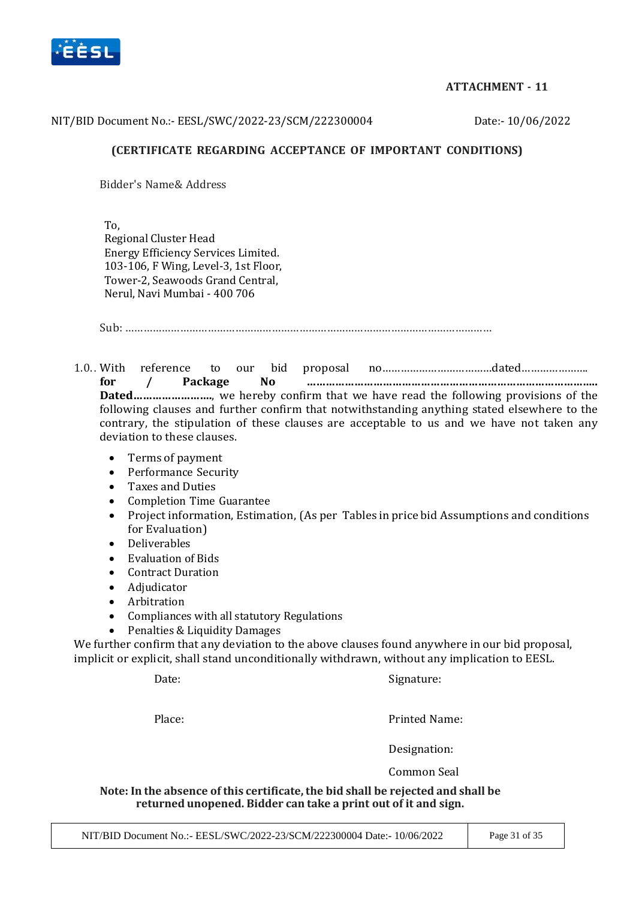

### **ATTACHMENT - 11**

#### NIT/BID Document No.:- EESL/SWC/2022-23/SCM/222300004 Date:- 10/06/2022

### **(CERTIFICATE REGARDING ACCEPTANCE OF IMPORTANT CONDITIONS)**

Bidder's Name& Address

To, Regional Cluster Head Energy Efficiency Services Limited. 103-106, F Wing, Level-3, 1st Floor, Tower-2, Seawoods Grand Central, Nerul, Navi Mumbai - 400 706

Sub: …………………………………………………………………………………………………………

1.0.. With reference to our bid proposal no………………………………dated…………………. **for / Package No ……………………………………………………………………………….. Dated…………………….**, we hereby confirm that we have read the following provisions of the following clauses and further confirm that notwithstanding anything stated elsewhere to the contrary, the stipulation of these clauses are acceptable to us and we have not taken any deviation to these clauses.

- Terms of payment
- Performance Security
- Taxes and Duties
- Completion Time Guarantee
- Project information, Estimation, (As per Tables in price bid Assumptions and conditions for Evaluation)
- Deliverables
- Evaluation of Bids
- Contract Duration
- Adjudicator
- Arbitration
- Compliances with all statutory Regulations
- Penalties & Liquidity Damages

We further confirm that any deviation to the above clauses found anywhere in our bid proposal, implicit or explicit, shall stand unconditionally withdrawn, without any implication to EESL.

Date: Signature:

Place: Place: Printed Name:

Designation:

Common Seal

**Note: In the absence of this certificate, the bid shall be rejected and shall be returned unopened. Bidder can take a print out of it and sign.**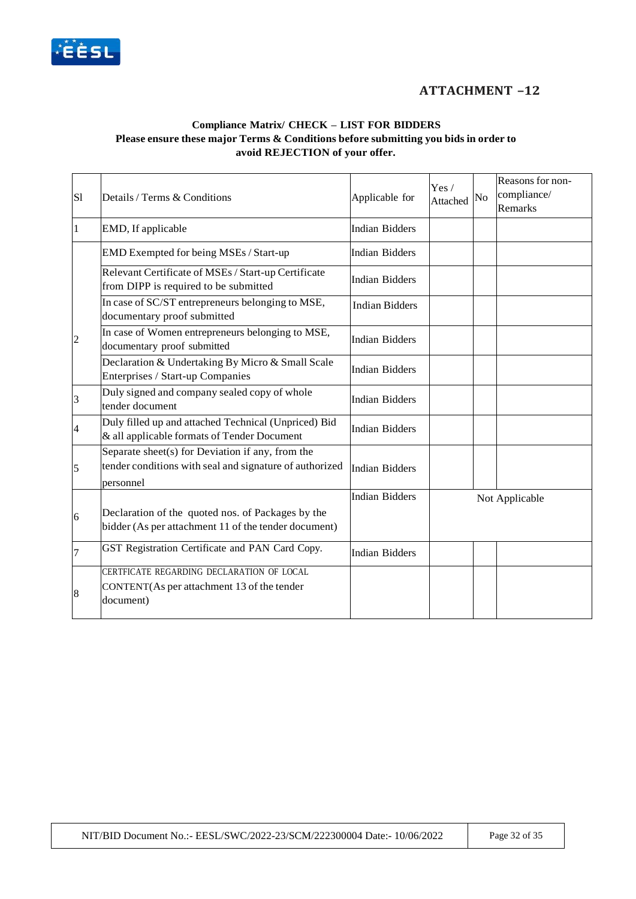

## **ATTACHMENT –12**

#### **Compliance Matrix/ CHECK – LIST FOR BIDDERS Please ensure these major Terms & Conditions before submitting you bids in order to avoid REJECTION of your offer.**

| S1             | Details / Terms & Conditions                                                                                             | Applicable for        | Yes/<br>Attached | No | Reasons for non-<br>compliance/<br>Remarks |
|----------------|--------------------------------------------------------------------------------------------------------------------------|-----------------------|------------------|----|--------------------------------------------|
|                | EMD, If applicable                                                                                                       | <b>Indian Bidders</b> |                  |    |                                            |
|                | EMD Exempted for being MSEs / Start-up                                                                                   | <b>Indian Bidders</b> |                  |    |                                            |
|                | Relevant Certificate of MSEs / Start-up Certificate<br>from DIPP is required to be submitted                             | <b>Indian Bidders</b> |                  |    |                                            |
|                | In case of SC/ST entrepreneurs belonging to MSE,<br>documentary proof submitted                                          | <b>Indian Bidders</b> |                  |    |                                            |
| $\overline{2}$ | In case of Women entrepreneurs belonging to MSE,<br>documentary proof submitted                                          | <b>Indian Bidders</b> |                  |    |                                            |
|                | Declaration & Undertaking By Micro & Small Scale<br>Enterprises / Start-up Companies                                     | <b>Indian Bidders</b> |                  |    |                                            |
| $\vert$ 3      | Duly signed and company sealed copy of whole<br>tender document                                                          | <b>Indian Bidders</b> |                  |    |                                            |
| 4              | Duly filled up and attached Technical (Unpriced) Bid<br>& all applicable formats of Tender Document                      | <b>Indian Bidders</b> |                  |    |                                            |
| $\overline{5}$ | Separate sheet(s) for Deviation if any, from the<br>tender conditions with seal and signature of authorized<br>personnel | <b>Indian Bidders</b> |                  |    |                                            |
|                |                                                                                                                          | <b>Indian Bidders</b> |                  |    | Not Applicable                             |
| 6              | Declaration of the quoted nos. of Packages by the<br>bidder (As per attachment 11 of the tender document)                |                       |                  |    |                                            |
| 7              | GST Registration Certificate and PAN Card Copy.                                                                          | <b>Indian Bidders</b> |                  |    |                                            |
| $\vert 8$      | CERTFICATE REGARDING DECLARATION OF LOCAL<br>CONTENT(As per attachment 13 of the tender<br>document)                     |                       |                  |    |                                            |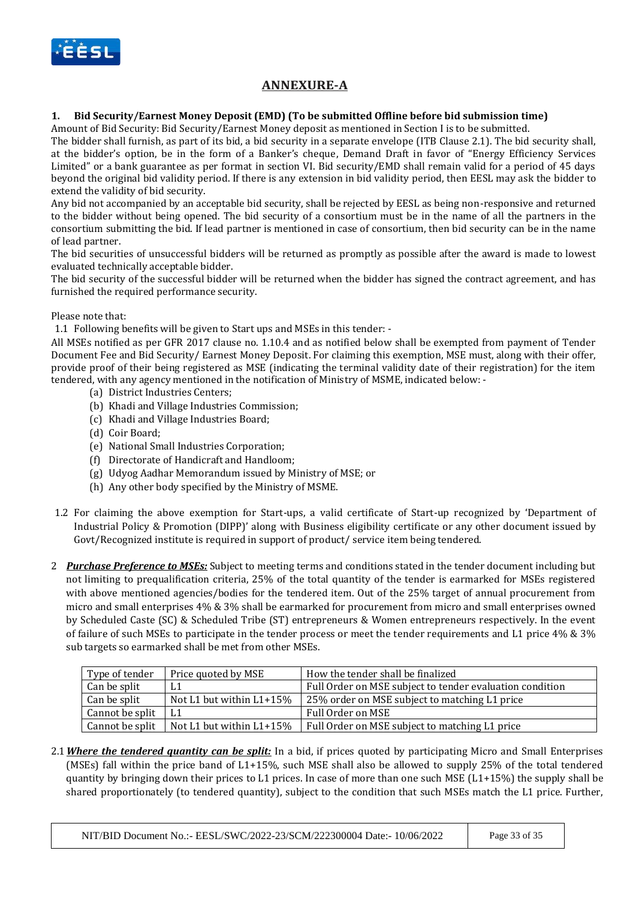

# **ANNEXURE-A**

#### **1. Bid Security/Earnest Money Deposit (EMD) (To be submitted Offline before bid submission time)**

Amount of Bid Security: Bid Security/Earnest Money deposit as mentioned in Section I is to be submitted.

The bidder shall furnish, as part of its bid, a bid security in a separate envelope (ITB Clause 2.1). The bid security shall, at the bidder's option, be in the form of a Banker's cheque, Demand Draft in favor of "Energy Efficiency Services Limited" or a bank guarantee as per format in section VI. Bid security/EMD shall remain valid for a period of 45 days beyond the original bid validity period. If there is any extension in bid validity period, then EESL may ask the bidder to extend the validity of bid security.

Any bid not accompanied by an acceptable bid security, shall be rejected by EESL as being non-responsive and returned to the bidder without being opened. The bid security of a consortium must be in the name of all the partners in the consortium submitting the bid. If lead partner is mentioned in case of consortium, then bid security can be in the name of lead partner.

The bid securities of unsuccessful bidders will be returned as promptly as possible after the award is made to lowest evaluated technically acceptable bidder.

The bid security of the successful bidder will be returned when the bidder has signed the contract agreement, and has furnished the required performance security.

#### Please note that:

1.1 Following benefits will be given to Start ups and MSEs in this tender: -

All MSEs notified as per GFR 2017 clause no. 1.10.4 and as notified below shall be exempted from payment of Tender Document Fee and Bid Security/ Earnest Money Deposit. For claiming this exemption, MSE must, along with their offer, provide proof of their being registered as MSE (indicating the terminal validity date of their registration) for the item tendered, with any agency mentioned in the notification of Ministry of MSME, indicated below: -

- (a) District Industries Centers;
- (b) Khadi and Village Industries Commission;
- (c) Khadi and Village Industries Board;
- (d) Coir Board;
- (e) National Small Industries Corporation;
- (f) Directorate of Handicraft and Handloom;
- (g) Udyog Aadhar Memorandum issued by Ministry of MSE; or
- (h) Any other body specified by the Ministry of MSME.
- 1.2 For claiming the above exemption for Start-ups, a valid certificate of Start-up recognized by 'Department of Industrial Policy & Promotion (DIPP)' along with Business eligibility certificate or any other document issued by Govt/Recognized institute is required in support of product/ service item being tendered.
- 2 *Purchase Preference to MSEs:* Subject to meeting terms and conditions stated in the tender document including but not limiting to prequalification criteria, 25% of the total quantity of the tender is earmarked for MSEs registered with above mentioned agencies/bodies for the tendered item. Out of the 25% target of annual procurement from micro and small enterprises 4% & 3% shall be earmarked for procurement from micro and small enterprises owned by Scheduled Caste (SC) & Scheduled Tribe (ST) entrepreneurs & Women entrepreneurs respectively. In the event of failure of such MSEs to participate in the tender process or meet the tender requirements and L1 price 4% & 3% sub targets so earmarked shall be met from other MSEs.

| Type of tender  | Price quoted by MSE        | How the tender shall be finalized                        |
|-----------------|----------------------------|----------------------------------------------------------|
| Can be split    | L <sub>1</sub>             | Full Order on MSE subject to tender evaluation condition |
| Can be split    | Not L1 but within L1+15%   | 25% order on MSE subject to matching L1 price            |
| Cannot be split |                            | Full Order on MSE                                        |
| Cannot be split | Not L1 but within $L1+15%$ | Full Order on MSE subject to matching L1 price           |

2.1*Where the tendered quantity can be split:* In a bid, if prices quoted by participating Micro and Small Enterprises (MSEs) fall within the price band of L1+15%, such MSE shall also be allowed to supply 25% of the total tendered quantity by bringing down their prices to L1 prices. In case of more than one such MSE (L1+15%) the supply shall be shared proportionately (to tendered quantity), subject to the condition that such MSEs match the L1 price. Further,

NIT/BID Document No.:- EESL/SWC/2022-23/SCM/222300004 Date:- 10/06/2022 Page 33 of 35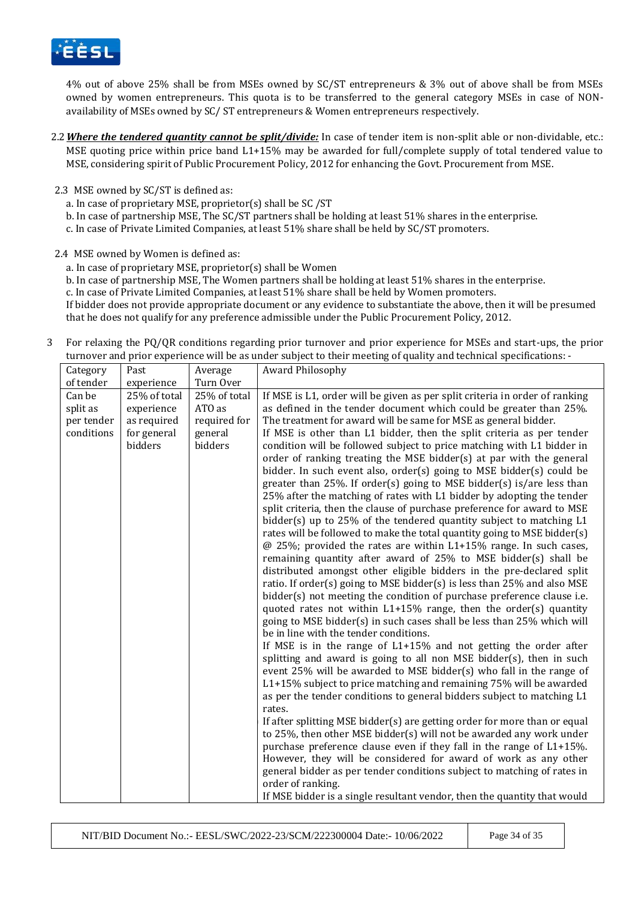

4% out of above 25% shall be from MSEs owned by SC/ST entrepreneurs & 3% out of above shall be from MSEs owned by women entrepreneurs. This quota is to be transferred to the general category MSEs in case of NONavailability of MSEs owned by SC/ ST entrepreneurs & Women entrepreneurs respectively.

- 2.2*Where the tendered quantity cannot be split/divide:* In case of tender item is non-split able or non-dividable, etc.: MSE quoting price within price band L1+15% may be awarded for full/complete supply of total tendered value to MSE, considering spirit of Public Procurement Policy, 2012 for enhancing the Govt. Procurement from MSE.
- 2.3 MSE owned by SC/ST is defined as:
	- a. In case of proprietary MSE, proprietor(s) shall be SC /ST
	- b. In case of partnership MSE, The SC/ST partners shall be holding at least 51% shares in the enterprise.
	- c. In case of Private Limited Companies, at least 51% share shall be held by SC/ST promoters.

2.4 MSE owned by Women is defined as:

- a. In case of proprietary MSE, proprietor(s) shall be Women
- b. In case of partnership MSE, The Women partners shall be holding at least 51% shares in the enterprise.
- c. In case of Private Limited Companies, at least 51% share shall be held by Women promoters.

If bidder does not provide appropriate document or any evidence to substantiate the above, then it will be presumed that he does not qualify for any preference admissible under the Public Procurement Policy, 2012.

3 For relaxing the PQ/QR conditions regarding prior turnover and prior experience for MSEs and start-ups, the prior turnover and prior experience will be as under subject to their meeting of quality and technical specifications: -

| Category   | Past         | Average      | Award Philosophy                                                                                                                                |
|------------|--------------|--------------|-------------------------------------------------------------------------------------------------------------------------------------------------|
| of tender  | experience   | Turn Over    |                                                                                                                                                 |
| Can be     | 25% of total | 25% of total | If MSE is L1, order will be given as per split criteria in order of ranking                                                                     |
| split as   | experience   | ATO as       | as defined in the tender document which could be greater than 25%.                                                                              |
| per tender | as required  | required for | The treatment for award will be same for MSE as general bidder.                                                                                 |
| conditions | for general  | general      | If MSE is other than L1 bidder, then the split criteria as per tender                                                                           |
|            | bidders      | bidders      | condition will be followed subject to price matching with L1 bidder in                                                                          |
|            |              |              | order of ranking treating the MSE bidder(s) at par with the general                                                                             |
|            |              |              | bidder. In such event also, order(s) going to MSE bidder(s) could be                                                                            |
|            |              |              | greater than 25%. If order(s) going to MSE bidder(s) is/are less than                                                                           |
|            |              |              | 25% after the matching of rates with L1 bidder by adopting the tender                                                                           |
|            |              |              | split criteria, then the clause of purchase preference for award to MSE                                                                         |
|            |              |              | bidder(s) up to 25% of the tendered quantity subject to matching L1                                                                             |
|            |              |              | rates will be followed to make the total quantity going to MSE bidder(s)<br>$@$ 25%; provided the rates are within L1+15% range. In such cases, |
|            |              |              | remaining quantity after award of 25% to MSE bidder(s) shall be                                                                                 |
|            |              |              | distributed amongst other eligible bidders in the pre-declared split                                                                            |
|            |              |              | ratio. If order(s) going to MSE bidder(s) is less than 25% and also MSE                                                                         |
|            |              |              | bidder(s) not meeting the condition of purchase preference clause i.e.                                                                          |
|            |              |              | quoted rates not within L1+15% range, then the order(s) quantity                                                                                |
|            |              |              | going to MSE bidder(s) in such cases shall be less than 25% which will                                                                          |
|            |              |              | be in line with the tender conditions.                                                                                                          |
|            |              |              | If MSE is in the range of $L1+15%$ and not getting the order after                                                                              |
|            |              |              | splitting and award is going to all non MSE bidder(s), then in such                                                                             |
|            |              |              | event 25% will be awarded to MSE bidder(s) who fall in the range of                                                                             |
|            |              |              | $L1+15\%$ subject to price matching and remaining 75% will be awarded                                                                           |
|            |              |              | as per the tender conditions to general bidders subject to matching L1                                                                          |
|            |              |              | rates.                                                                                                                                          |
|            |              |              | If after splitting MSE bidder(s) are getting order for more than or equal                                                                       |
|            |              |              | to 25%, then other MSE bidder(s) will not be awarded any work under                                                                             |
|            |              |              | purchase preference clause even if they fall in the range of L1+15%.                                                                            |
|            |              |              | However, they will be considered for award of work as any other                                                                                 |
|            |              |              | general bidder as per tender conditions subject to matching of rates in                                                                         |
|            |              |              | order of ranking.                                                                                                                               |
|            |              |              | If MSE bidder is a single resultant vendor, then the quantity that would                                                                        |